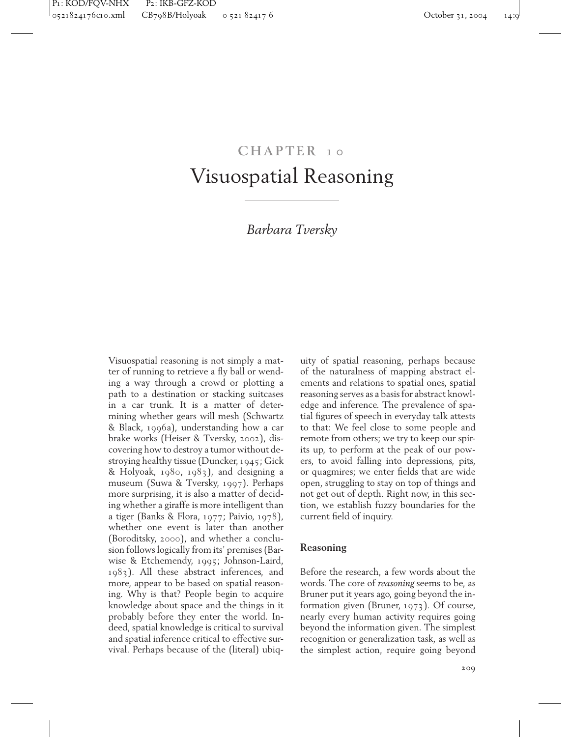# **CHAPTER 1 0** Visuospatial Reasoning

# *Barbara Tversky*

Visuospatial reasoning is not simply a matter of running to retrieve a fly ball or wending a way through a crowd or plotting a path to a destination or stacking suitcases in a car trunk. It is a matter of determining whether gears will mesh (Schwartz & Black, 1996a), understanding how a car brake works (Heiser & Tversky, 2002), discovering how to destroy a tumor without destroying healthy tissue (Duncker, 1945; Gick & Holyoak, 1980, 1983 ), and designing a museum (Suwa & Tversky, 1997). Perhaps more surprising, it is also a matter of deciding whether a giraffe is more intelligent than a tiger (Banks & Flora, 1977; Paivio, 1978), whether one event is later than another (Boroditsky, 2000), and whether a conclusion follows logically from its' premises (Barwise & Etchemendy, 1995; Johnson-Laird, 1983 ). All these abstract inferences, and more, appear to be based on spatial reasoning. Why is that? People begin to acquire knowledge about space and the things in it probably before they enter the world. Indeed, spatial knowledge is critical to survival and spatial inference critical to effective survival. Perhaps because of the (literal) ubiquity of spatial reasoning, perhaps because of the naturalness of mapping abstract elements and relations to spatial ones, spatial reasoning serves as a basis for abstract knowledge and inference. The prevalence of spatial figures of speech in everyday talk attests to that: We feel close to some people and remote from others; we try to keep our spirits up, to perform at the peak of our powers, to avoid falling into depressions, pits, or quagmires; we enter fields that are wide open, struggling to stay on top of things and not get out of depth. Right now, in this section, we establish fuzzy boundaries for the current field of inquiry.

# **Reasoning**

Before the research, a few words about the words. The core of *reasoning* seems to be, as Bruner put it years ago, going beyond the information given (Bruner, 1973 ). Of course, nearly every human activity requires going beyond the information given. The simplest recognition or generalization task, as well as the simplest action, require going beyond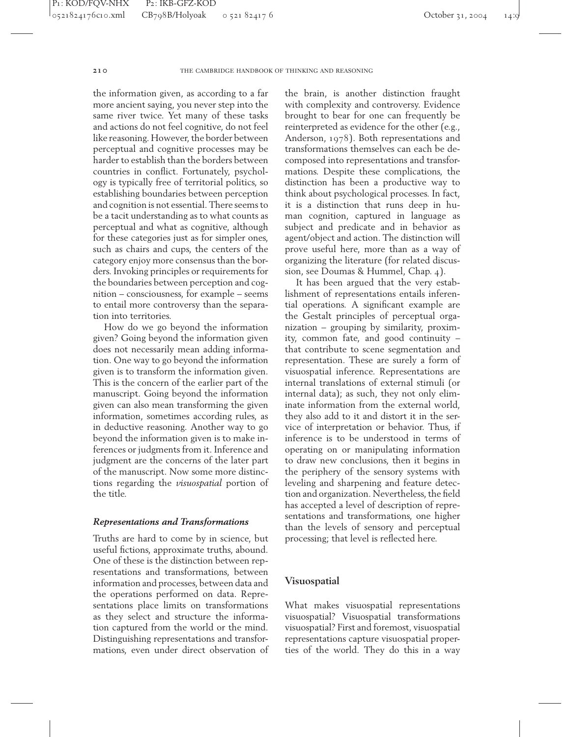the information given, as according to a far more ancient saying, you never step into the same river twice. Yet many of these tasks and actions do not feel cognitive, do not feel like reasoning. However, the border between perceptual and cognitive processes may be harder to establish than the borders between countries in conflict. Fortunately, psychology is typically free of territorial politics, so establishing boundaries between perception and cognition is not essential. There seems to be a tacit understanding as to what counts as perceptual and what as cognitive, although for these categories just as for simpler ones, such as chairs and cups, the centers of the category enjoy more consensus than the borders. Invoking principles or requirements for the boundaries between perception and cognition – consciousness, for example – seems to entail more controversy than the separation into territories.

How do we go beyond the information given? Going beyond the information given does not necessarily mean adding information. One way to go beyond the information given is to transform the information given. This is the concern of the earlier part of the manuscript. Going beyond the information given can also mean transforming the given information, sometimes according rules, as in deductive reasoning. Another way to go beyond the information given is to make inferences or judgments from it. Inference and judgment are the concerns of the later part of the manuscript. Now some more distinctions regarding the *visuospatial* portion of the title.

# *Representations and Transformations*

Truths are hard to come by in science, but useful fictions, approximate truths, abound. One of these is the distinction between representations and transformations, between information and processes, between data and the operations performed on data. Representations place limits on transformations as they select and structure the information captured from the world or the mind. Distinguishing representations and transformations, even under direct observation of the brain, is another distinction fraught with complexity and controversy. Evidence brought to bear for one can frequently be reinterpreted as evidence for the other (e.g., Anderson, 1978). Both representations and transformations themselves can each be decomposed into representations and transformations. Despite these complications, the distinction has been a productive way to think about psychological processes. In fact, it is a distinction that runs deep in human cognition, captured in language as subject and predicate and in behavior as agent/object and action. The distinction will prove useful here, more than as a way of organizing the literature (for related discussion, see Doumas & Hummel, Chap. 4).

It has been argued that the very establishment of representations entails inferential operations. A significant example are the Gestalt principles of perceptual organization – grouping by similarity, proximity, common fate, and good continuity – that contribute to scene segmentation and representation. These are surely a form of visuospatial inference. Representations are internal translations of external stimuli (or internal data); as such, they not only eliminate information from the external world, they also add to it and distort it in the service of interpretation or behavior. Thus, if inference is to be understood in terms of operating on or manipulating information to draw new conclusions, then it begins in the periphery of the sensory systems with leveling and sharpening and feature detection and organization. Nevertheless, the field has accepted a level of description of representations and transformations, one higher than the levels of sensory and perceptual processing; that level is reflected here.

## **Visuospatial**

What makes visuospatial representations visuospatial? Visuospatial transformations visuospatial? First and foremost, visuospatial representations capture visuospatial properties of the world. They do this in a way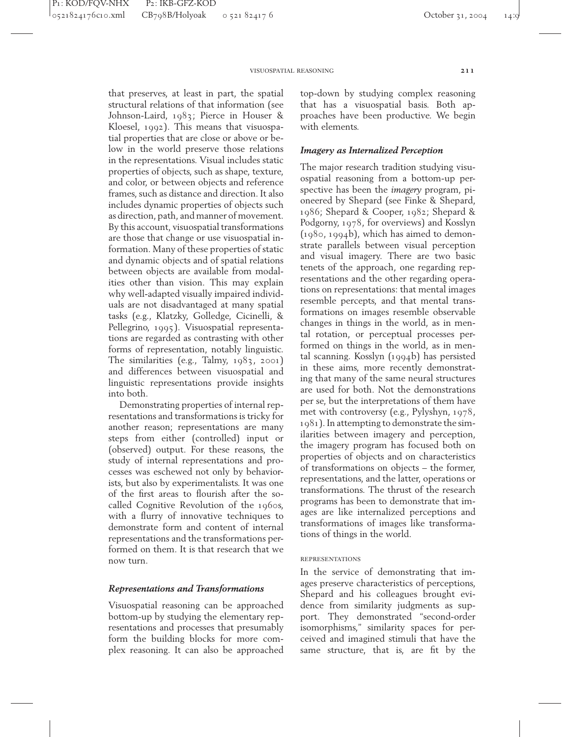P1: KOD/FQV-NHX P2: IKB-GFZ-KOD 0521824176c10.xml CB798B/Holyoak 0 521 82417 6 October 31, 2004 14:9

visuospatial reasoning **211**

that preserves, at least in part, the spatial structural relations of that information (see Johnson-Laird, 1983; Pierce in Houser & Kloesel, 1992). This means that visuospatial properties that are close or above or below in the world preserve those relations in the representations. Visual includes static properties of objects, such as shape, texture, and color, or between objects and reference frames, such as distance and direction. It also includes dynamic properties of objects such as direction, path, and manner of movement. By this account, visuospatial transformations are those that change or use visuospatial information. Many of these properties of static and dynamic objects and of spatial relations between objects are available from modalities other than vision. This may explain why well-adapted visually impaired individuals are not disadvantaged at many spatial tasks (e.g., Klatzky, Golledge, Cicinelli, & Pellegrino, 1995). Visuospatial representations are regarded as contrasting with other forms of representation, notably linguistic. The similarities (e.g., Talmy,  $1983, 2001$ ) and differences between visuospatial and linguistic representations provide insights into both.

Demonstrating properties of internal representations and transformations is tricky for another reason; representations are many steps from either (controlled) input or (observed) output. For these reasons, the study of internal representations and processes was eschewed not only by behaviorists, but also by experimentalists. It was one of the first areas to flourish after the socalled Cognitive Revolution of the 1960s, with a flurry of innovative techniques to demonstrate form and content of internal representations and the transformations performed on them. It is that research that we now turn.

# *Representations and Transformations*

Visuospatial reasoning can be approached bottom-up by studying the elementary representations and processes that presumably form the building blocks for more complex reasoning. It can also be approached

top-down by studying complex reasoning that has a visuospatial basis. Both approaches have been productive. We begin with elements.

# *Imagery as Internalized Perception*

The major research tradition studying visuospatial reasoning from a bottom-up perspective has been the *imagery* program, pioneered by Shepard (see Finke & Shepard, 1986; Shepard & Cooper, 1982; Shepard & Podgorny, 1978, for overviews) and Kosslyn (1980, 1994b), which has aimed to demonstrate parallels between visual perception and visual imagery. There are two basic tenets of the approach, one regarding representations and the other regarding operations on representations: that mental images resemble percepts, and that mental transformations on images resemble observable changes in things in the world, as in mental rotation, or perceptual processes performed on things in the world, as in mental scanning. Kosslyn (1994b) has persisted in these aims, more recently demonstrating that many of the same neural structures are used for both. Not the demonstrations per se, but the interpretations of them have met with controversy (e.g., Pylyshyn, 1978, 1981). In attempting to demonstrate the similarities between imagery and perception, the imagery program has focused both on properties of objects and on characteristics of transformations on objects – the former, representations, and the latter, operations or transformations. The thrust of the research programs has been to demonstrate that images are like internalized perceptions and transformations of images like transformations of things in the world.

### representations

In the service of demonstrating that images preserve characteristics of perceptions, Shepard and his colleagues brought evidence from similarity judgments as support. They demonstrated "second-order isomorphisms," similarity spaces for perceived and imagined stimuli that have the same structure, that is, are fit by the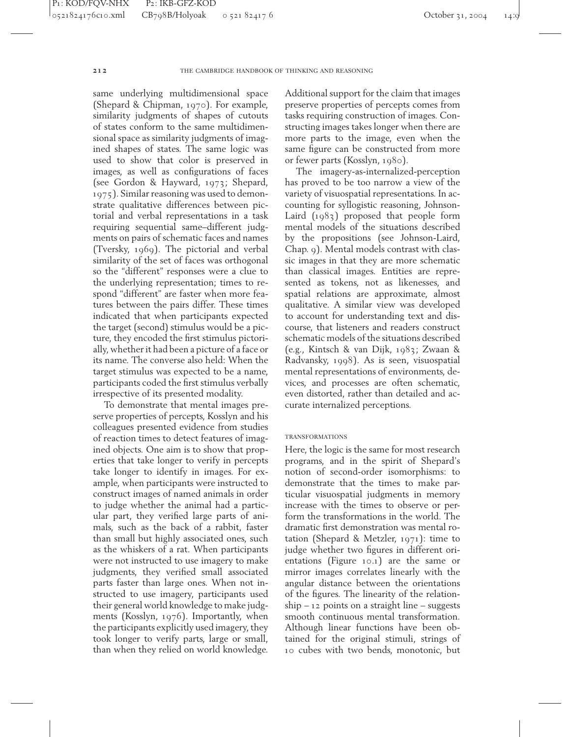same underlying multidimensional space (Shepard & Chipman, 1970). For example, similarity judgments of shapes of cutouts of states conform to the same multidimensional space as similarity judgments of imagined shapes of states. The same logic was used to show that color is preserved in images, as well as configurations of faces (see Gordon & Hayward, 1973 ; Shepard, 1975 ). Similar reasoning was used to demonstrate qualitative differences between pictorial and verbal representations in a task requiring sequential same–different judgments on pairs of schematic faces and names (Tversky, 1969). The pictorial and verbal similarity of the set of faces was orthogonal so the "different" responses were a clue to the underlying representation; times to respond "different" are faster when more features between the pairs differ. These times indicated that when participants expected the target (second) stimulus would be a picture, they encoded the first stimulus pictorially, whether it had been a picture of a face or its name. The converse also held: When the target stimulus was expected to be a name, participants coded the first stimulus verbally irrespective of its presented modality.

To demonstrate that mental images preserve properties of percepts, Kosslyn and his colleagues presented evidence from studies of reaction times to detect features of imagined objects. One aim is to show that properties that take longer to verify in percepts take longer to identify in images. For example, when participants were instructed to construct images of named animals in order to judge whether the animal had a particular part, they verified large parts of animals, such as the back of a rabbit, faster than small but highly associated ones, such as the whiskers of a rat. When participants were not instructed to use imagery to make judgments, they verified small associated parts faster than large ones. When not instructed to use imagery, participants used their general world knowledge to make judgments (Kosslyn, 1976). Importantly, when the participants explicitly used imagery, they took longer to verify parts, large or small, than when they relied on world knowledge.

Additional support for the claim that images preserve properties of percepts comes from tasks requiring construction of images. Constructing images takes longer when there are more parts to the image, even when the same figure can be constructed from more or fewer parts (Kosslyn, 1980).

The imagery-as-internalized-perception has proved to be too narrow a view of the variety of visuospatial representations. In accounting for syllogistic reasoning, Johnson-Laird  $(1983)$  proposed that people form mental models of the situations described by the propositions (see Johnson-Laird, Chap. 9). Mental models contrast with classic images in that they are more schematic than classical images. Entities are represented as tokens, not as likenesses, and spatial relations are approximate, almost qualitative. A similar view was developed to account for understanding text and discourse, that listeners and readers construct schematic models of the situations described (e.g., Kintsch & van Dijk, 1983 ; Zwaan & Radvansky, 1998). As is seen, visuospatial mental representations of environments, devices, and processes are often schematic, even distorted, rather than detailed and accurate internalized perceptions.

#### transformations

Here, the logic is the same for most research programs, and in the spirit of Shepard's notion of second-order isomorphisms: to demonstrate that the times to make particular visuospatial judgments in memory increase with the times to observe or perform the transformations in the world. The dramatic first demonstration was mental rotation (Shepard & Metzler, 1971): time to judge whether two figures in different orientations (Figure 10.1) are the same or mirror images correlates linearly with the angular distance between the orientations of the figures. The linearity of the relation $ship - 12$  points on a straight line – suggests smooth continuous mental transformation. Although linear functions have been obtained for the original stimuli, strings of 10 cubes with two bends, monotonic, but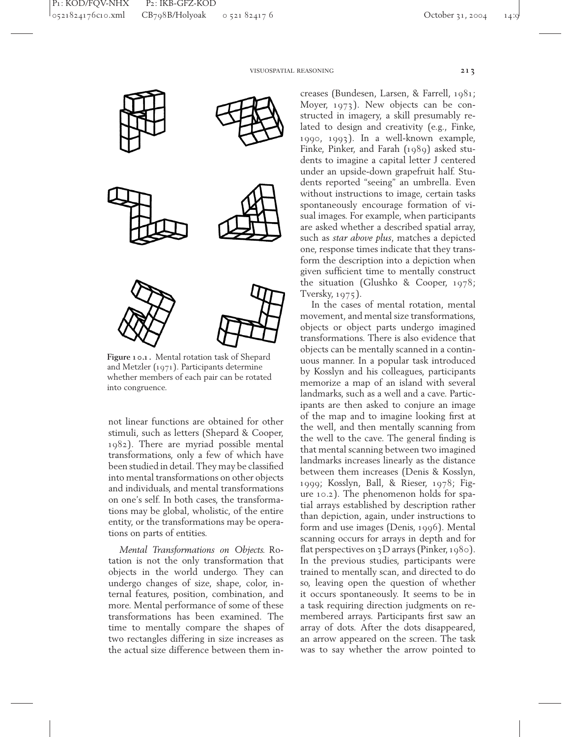





**Figure 1 0.1 .** Mental rotation task of Shepard and Metzler (1971). Participants determine whether members of each pair can be rotated into congruence.

not linear functions are obtained for other stimuli, such as letters (Shepard & Cooper, 1982). There are myriad possible mental transformations, only a few of which have been studied in detail. They may be classified into mental transformations on other objects and individuals, and mental transformations on one's self. In both cases, the transformations may be global, wholistic, of the entire entity, or the transformations may be operations on parts of entities.

*Mental Transformations on Objects.* Rotation is not the only transformation that objects in the world undergo. They can undergo changes of size, shape, color, internal features, position, combination, and more. Mental performance of some of these transformations has been examined. The time to mentally compare the shapes of two rectangles differing in size increases as the actual size difference between them increases (Bundesen, Larsen, & Farrell, 1981; Moyer, 1973). New objects can be constructed in imagery, a skill presumably related to design and creativity (e.g., Finke, 1990, 1993 ). In a well-known example, Finke, Pinker, and Farah (1989) asked students to imagine a capital letter J centered under an upside-down grapefruit half. Students reported "seeing" an umbrella. Even without instructions to image, certain tasks spontaneously encourage formation of visual images. For example, when participants are asked whether a described spatial array, such as *star above plus*, matches a depicted one, response times indicate that they transform the description into a depiction when given sufficient time to mentally construct the situation (Glushko & Cooper, 1978; Tversky, 1975 ).

In the cases of mental rotation, mental movement, and mental size transformations, objects or object parts undergo imagined transformations. There is also evidence that objects can be mentally scanned in a continuous manner. In a popular task introduced by Kosslyn and his colleagues, participants memorize a map of an island with several landmarks, such as a well and a cave. Participants are then asked to conjure an image of the map and to imagine looking first at the well, and then mentally scanning from the well to the cave. The general finding is that mental scanning between two imagined landmarks increases linearly as the distance between them increases (Denis & Kosslyn, 1999; Kosslyn, Ball, & Rieser, 1978; Figure 10.2). The phenomenon holds for spatial arrays established by description rather than depiction, again, under instructions to form and use images (Denis, 1996). Mental scanning occurs for arrays in depth and for flat perspectives on  $3D$  arrays (Pinker, 1980). In the previous studies, participants were trained to mentally scan, and directed to do so, leaving open the question of whether it occurs spontaneously. It seems to be in a task requiring direction judgments on remembered arrays. Participants first saw an array of dots. After the dots disappeared, an arrow appeared on the screen. The task was to say whether the arrow pointed to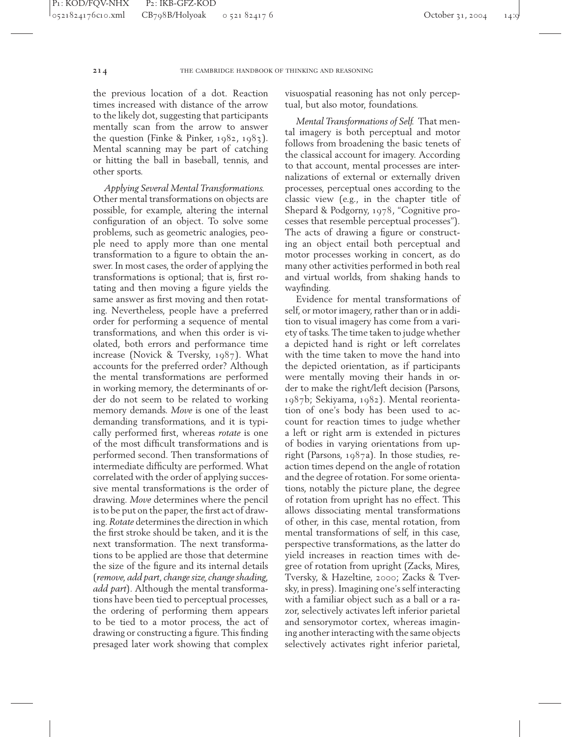the previous location of a dot. Reaction times increased with distance of the arrow to the likely dot, suggesting that participants mentally scan from the arrow to answer the question (Finke & Pinker,  $1982, 1983$ ). Mental scanning may be part of catching or hitting the ball in baseball, tennis, and other sports.

*Applying Several Mental Transformations.* Other mental transformations on objects are possible, for example, altering the internal configuration of an object. To solve some problems, such as geometric analogies, people need to apply more than one mental transformation to a figure to obtain the answer. In most cases, the order of applying the transformations is optional; that is, first rotating and then moving a figure yields the same answer as first moving and then rotating. Nevertheless, people have a preferred order for performing a sequence of mental transformations, and when this order is violated, both errors and performance time increase (Novick & Tversky, 1987). What accounts for the preferred order? Although the mental transformations are performed in working memory, the determinants of order do not seem to be related to working memory demands. *Move* is one of the least demanding transformations, and it is typically performed first, whereas *rotate* is one of the most difficult transformations and is performed second. Then transformations of intermediate difficulty are performed. What correlated with the order of applying successive mental transformations is the order of drawing. *Move* determines where the pencil is to be put on the paper, the first act of drawing. *Rotate* determines the direction in which the first stroke should be taken, and it is the next transformation. The next transformations to be applied are those that determine the size of the figure and its internal details (*remove, add part, change size, change shading, add part*). Although the mental transformations have been tied to perceptual processes, the ordering of performing them appears to be tied to a motor process, the act of drawing or constructing a figure. This finding presaged later work showing that complex

visuospatial reasoning has not only perceptual, but also motor, foundations.

*Mental Transformations of Self.* That mental imagery is both perceptual and motor follows from broadening the basic tenets of the classical account for imagery. According to that account, mental processes are internalizations of external or externally driven processes, perceptual ones according to the classic view (e.g., in the chapter title of Shepard & Podgorny, 1978, "Cognitive processes that resemble perceptual processes"). The acts of drawing a figure or constructing an object entail both perceptual and motor processes working in concert, as do many other activities performed in both real and virtual worlds, from shaking hands to wayfinding.

Evidence for mental transformations of self, or motor imagery, rather than or in addition to visual imagery has come from a variety of tasks. The time taken to judge whether a depicted hand is right or left correlates with the time taken to move the hand into the depicted orientation, as if participants were mentally moving their hands in order to make the right/left decision (Parsons, 1987b; Sekiyama, 1982). Mental reorientation of one's body has been used to account for reaction times to judge whether a left or right arm is extended in pictures of bodies in varying orientations from upright (Parsons, 1987a). In those studies, reaction times depend on the angle of rotation and the degree of rotation. For some orientations, notably the picture plane, the degree of rotation from upright has no effect. This allows dissociating mental transformations of other, in this case, mental rotation, from mental transformations of self, in this case, perspective transformations, as the latter do yield increases in reaction times with degree of rotation from upright (Zacks, Mires, Tversky, & Hazeltine, 2000; Zacks & Tversky, in press). Imagining one's self interacting with a familiar object such as a ball or a razor, selectively activates left inferior parietal and sensorymotor cortex, whereas imagining another interacting with the same objects selectively activates right inferior parietal,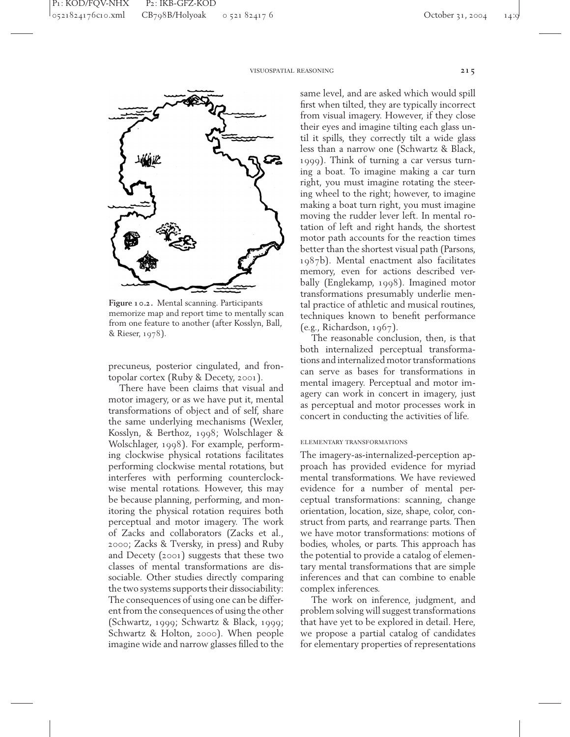**Figure 1 0.2 .** Mental scanning. Participants memorize map and report time to mentally scan from one feature to another (after Kosslyn, Ball, & Rieser, 1978).

precuneus, posterior cingulated, and frontopolar cortex (Ruby & Decety, 2001).

There have been claims that visual and motor imagery, or as we have put it, mental transformations of object and of self, share the same underlying mechanisms (Wexler, Kosslyn, & Berthoz, 1998; Wolschlager & Wolschlager, 1998). For example, performing clockwise physical rotations facilitates performing clockwise mental rotations, but interferes with performing counterclockwise mental rotations. However, this may be because planning, performing, and monitoring the physical rotation requires both perceptual and motor imagery. The work of Zacks and collaborators (Zacks et al., 2000; Zacks & Tversky, in press) and Ruby and Decety (2001) suggests that these two classes of mental transformations are dissociable. Other studies directly comparing the two systems supports their dissociability: The consequences of using one can be different from the consequences of using the other (Schwartz, 1999; Schwartz & Black, 1999; Schwartz & Holton, 2000). When people imagine wide and narrow glasses filled to the

same level, and are asked which would spill first when tilted, they are typically incorrect from visual imagery. However, if they close their eyes and imagine tilting each glass until it spills, they correctly tilt a wide glass less than a narrow one (Schwartz & Black, 1999). Think of turning a car versus turning a boat. To imagine making a car turn right, you must imagine rotating the steering wheel to the right; however, to imagine making a boat turn right, you must imagine moving the rudder lever left. In mental rotation of left and right hands, the shortest motor path accounts for the reaction times better than the shortest visual path (Parsons, 1987b). Mental enactment also facilitates memory, even for actions described verbally (Englekamp, 1998). Imagined motor transformations presumably underlie mental practice of athletic and musical routines, techniques known to benefit performance (e.g., Richardson, 1967).

The reasonable conclusion, then, is that both internalized perceptual transformations and internalized motor transformations can serve as bases for transformations in mental imagery. Perceptual and motor imagery can work in concert in imagery, just as perceptual and motor processes work in concert in conducting the activities of life.

#### elementary transformations

The imagery-as-internalized-perception approach has provided evidence for myriad mental transformations. We have reviewed evidence for a number of mental perceptual transformations: scanning, change orientation, location, size, shape, color, construct from parts, and rearrange parts. Then we have motor transformations: motions of bodies, wholes, or parts. This approach has the potential to provide a catalog of elementary mental transformations that are simple inferences and that can combine to enable complex inferences.

The work on inference, judgment, and problem solving will suggest transformations that have yet to be explored in detail. Here, we propose a partial catalog of candidates for elementary properties of representations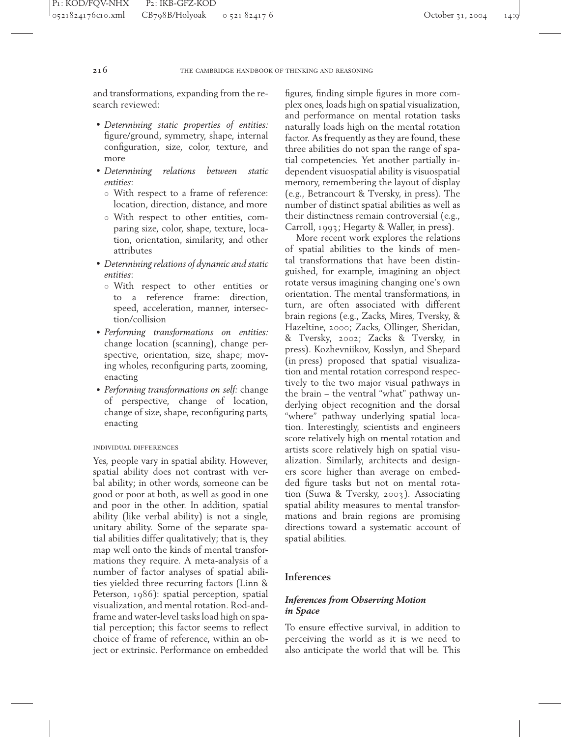and transformations, expanding from the research reviewed:

- *Determining static properties of entities:* figure/ground, symmetry, shape, internal configuration, size, color, texture, and more
- *Determining relations between static entities*:
	- With respect to a frame of reference: location, direction, distance, and more
	- With respect to other entities, comparing size, color, shape, texture, location, orientation, similarity, and other attributes
- *Determining relations of dynamic and static entities*:
	- With respect to other entities or to a reference frame: direction, speed, acceleration, manner, intersection/collision
- *Performing transformations on entities:* change location (scanning), change perspective, orientation, size, shape; moving wholes, reconfiguring parts, zooming, enacting
- *Performing transformations on self:* change of perspective, change of location, change of size, shape, reconfiguring parts, enacting

#### individual differences

Yes, people vary in spatial ability. However, spatial ability does not contrast with verbal ability; in other words, someone can be good or poor at both, as well as good in one and poor in the other. In addition, spatial ability (like verbal ability) is not a single, unitary ability. Some of the separate spatial abilities differ qualitatively; that is, they map well onto the kinds of mental transformations they require. A meta-analysis of a number of factor analyses of spatial abilities yielded three recurring factors (Linn & Peterson, 1986): spatial perception, spatial visualization, and mental rotation. Rod-andframe and water-level tasks load high on spatial perception; this factor seems to reflect choice of frame of reference, within an object or extrinsic. Performance on embedded

figures, finding simple figures in more complex ones, loads high on spatial visualization, and performance on mental rotation tasks naturally loads high on the mental rotation factor. As frequently as they are found, these three abilities do not span the range of spatial competencies. Yet another partially independent visuospatial ability is visuospatial memory, remembering the layout of display (e.g., Betrancourt & Tversky, in press). The number of distinct spatial abilities as well as their distinctness remain controversial (e.g., Carroll, 1993; Hegarty & Waller, in press).

More recent work explores the relations of spatial abilities to the kinds of mental transformations that have been distinguished, for example, imagining an object rotate versus imagining changing one's own orientation. The mental transformations, in turn, are often associated with different brain regions (e.g., Zacks, Mires, Tversky, & Hazeltine, 2000; Zacks, Ollinger, Sheridan, & Tversky, 2002; Zacks & Tversky, in press). Kozhevniikov, Kosslyn, and Shepard (in press) proposed that spatial visualization and mental rotation correspond respectively to the two major visual pathways in the brain – the ventral "what" pathway underlying object recognition and the dorsal "where" pathway underlying spatial location. Interestingly, scientists and engineers score relatively high on mental rotation and artists score relatively high on spatial visualization. Similarly, architects and designers score higher than average on embedded figure tasks but not on mental rotation (Suwa & Tversky, 2003 ). Associating spatial ability measures to mental transformations and brain regions are promising directions toward a systematic account of spatial abilities.

# **Inferences**

# *Inferences from Observing Motion in Space*

To ensure effective survival, in addition to perceiving the world as it is we need to also anticipate the world that will be. This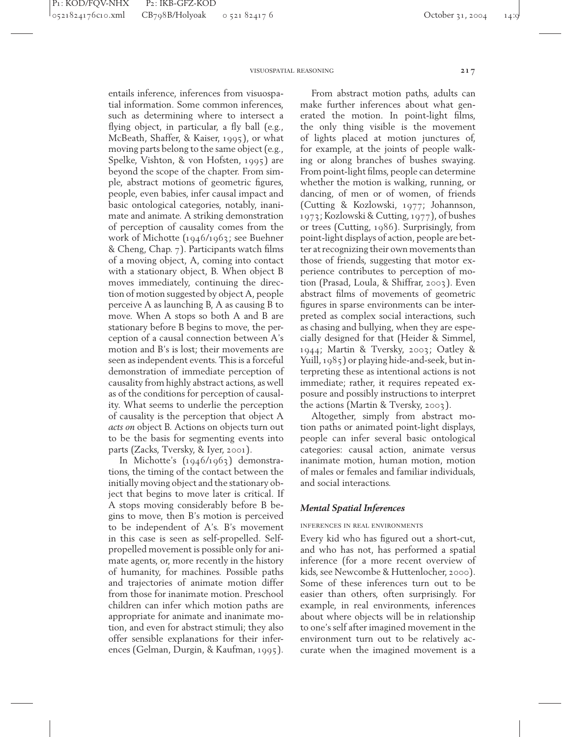P1: KOD/FQV-NHX P2: IKB-GFZ-KOD 0521824176c10.xml CB798B/Holyoak 0 521 82417 6 October 31, 2004 14:9

### visuospatial reasoning **217**

entails inference, inferences from visuospatial information. Some common inferences, such as determining where to intersect a flying object, in particular, a fly ball (e.g., McBeath, Shaffer, & Kaiser, 1995 ), or what moving parts belong to the same object (e.g., Spelke, Vishton, & von Hofsten, 1995) are beyond the scope of the chapter. From simple, abstract motions of geometric figures, people, even babies, infer causal impact and basic ontological categories, notably, inanimate and animate. A striking demonstration of perception of causality comes from the work of Michotte (1946/1963; see Buehner & Cheng, Chap. 7). Participants watch films of a moving object, A, coming into contact with a stationary object, B. When object B moves immediately, continuing the direction of motion suggested by object A, people perceive A as launching B, A as causing B to move. When A stops so both A and B are stationary before B begins to move, the perception of a causal connection between A's motion and B's is lost; their movements are seen as independent events. This is a forceful demonstration of immediate perception of causality from highly abstract actions, as well as of the conditions for perception of causality. What seems to underlie the perception of causality is the perception that object A *acts on* object B. Actions on objects turn out to be the basis for segmenting events into parts (Zacks, Tversky, & Iyer, 2001).

In Michotte's (1946/1963 ) demonstrations, the timing of the contact between the initially moving object and the stationary object that begins to move later is critical. If A stops moving considerably before B begins to move, then B's motion is perceived to be independent of A's. B's movement in this case is seen as self-propelled. Selfpropelled movement is possible only for animate agents, or, more recently in the history of humanity, for machines. Possible paths and trajectories of animate motion differ from those for inanimate motion. Preschool children can infer which motion paths are appropriate for animate and inanimate motion, and even for abstract stimuli; they also offer sensible explanations for their inferences (Gelman, Durgin, & Kaufman, 1995 ).

From abstract motion paths, adults can make further inferences about what generated the motion. In point-light films, the only thing visible is the movement of lights placed at motion junctures of, for example, at the joints of people walking or along branches of bushes swaying. From point-light films, people can determine whether the motion is walking, running, or dancing, of men or of women, of friends (Cutting & Kozlowski, 1977; Johannson, 1973 ; Kozlowski & Cutting, 1977), of bushes or trees (Cutting, 1986). Surprisingly, from point-light displays of action, people are better at recognizing their own movements than those of friends, suggesting that motor experience contributes to perception of motion (Prasad, Loula, & Shiffrar, 2003 ). Even abstract films of movements of geometric figures in sparse environments can be interpreted as complex social interactions, such as chasing and bullying, when they are especially designed for that (Heider & Simmel, 1944; Martin & Tversky, 2003; Oatley & Yuill, 1985 ) or playing hide-and-seek, but interpreting these as intentional actions is not immediate; rather, it requires repeated exposure and possibly instructions to interpret the actions (Martin & Tversky, 2003 ).

Altogether, simply from abstract motion paths or animated point-light displays, people can infer several basic ontological categories: causal action, animate versus inanimate motion, human motion, motion of males or females and familiar individuals, and social interactions.

# *Mental Spatial Inferences*

#### inferences in real environments

Every kid who has figured out a short-cut, and who has not, has performed a spatial inference (for a more recent overview of kids, see Newcombe & Huttenlocher, 2000). Some of these inferences turn out to be easier than others, often surprisingly. For example, in real environments, inferences about where objects will be in relationship to one's self after imagined movement in the environment turn out to be relatively accurate when the imagined movement is a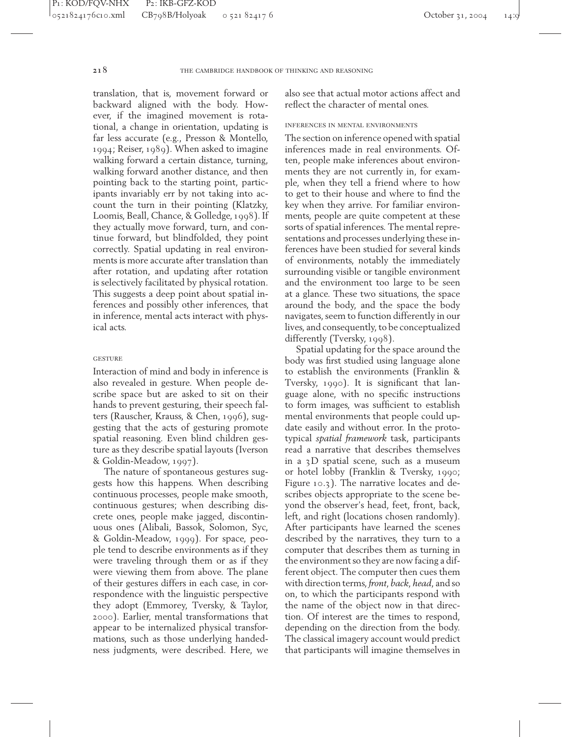translation, that is, movement forward or backward aligned with the body. However, if the imagined movement is rotational, a change in orientation, updating is far less accurate (e.g., Presson & Montello, 1994; Reiser, 1989). When asked to imagine walking forward a certain distance, turning, walking forward another distance, and then pointing back to the starting point, participants invariably err by not taking into account the turn in their pointing (Klatzky, Loomis, Beall, Chance, & Golledge, 1998). If they actually move forward, turn, and continue forward, but blindfolded, they point correctly. Spatial updating in real environments is more accurate after translation than after rotation, and updating after rotation is selectively facilitated by physical rotation. This suggests a deep point about spatial inferences and possibly other inferences, that in inference, mental acts interact with physical acts.

### **GESTURE**

Interaction of mind and body in inference is also revealed in gesture. When people describe space but are asked to sit on their hands to prevent gesturing, their speech falters (Rauscher, Krauss, & Chen, 1996), suggesting that the acts of gesturing promote spatial reasoning. Even blind children gesture as they describe spatial layouts (Iverson & Goldin-Meadow, 1997).

The nature of spontaneous gestures suggests how this happens. When describing continuous processes, people make smooth, continuous gestures; when describing discrete ones, people make jagged, discontinuous ones (Alibali, Bassok, Solomon, Syc, & Goldin-Meadow, 1999). For space, people tend to describe environments as if they were traveling through them or as if they were viewing them from above. The plane of their gestures differs in each case, in correspondence with the linguistic perspective they adopt (Emmorey, Tversky, & Taylor, 2000). Earlier, mental transformations that appear to be internalized physical transformations, such as those underlying handedness judgments, were described. Here, we

also see that actual motor actions affect and reflect the character of mental ones.

#### inferences in mental environments

The section on inference opened with spatial inferences made in real environments. Often, people make inferences about environments they are not currently in, for example, when they tell a friend where to how to get to their house and where to find the key when they arrive. For familiar environments, people are quite competent at these sorts of spatial inferences. The mental representations and processes underlying these inferences have been studied for several kinds of environments, notably the immediately surrounding visible or tangible environment and the environment too large to be seen at a glance. These two situations, the space around the body, and the space the body navigates, seem to function differently in our lives, and consequently, to be conceptualized differently (Tversky, 1998).

Spatial updating for the space around the body was first studied using language alone to establish the environments (Franklin & Tversky, 1990). It is significant that language alone, with no specific instructions to form images, was sufficient to establish mental environments that people could update easily and without error. In the prototypical *spatial framework* task, participants read a narrative that describes themselves in a 3D spatial scene, such as a museum or hotel lobby (Franklin & Tversky, 1990; Figure 10.3 ). The narrative locates and describes objects appropriate to the scene beyond the observer's head, feet, front, back, left, and right (locations chosen randomly). After participants have learned the scenes described by the narratives, they turn to a computer that describes them as turning in the environment so they are now facing a different object. The computer then cues them with direction terms, *front, back, head*, and so on, to which the participants respond with the name of the object now in that direction. Of interest are the times to respond, depending on the direction from the body. The classical imagery account would predict that participants will imagine themselves in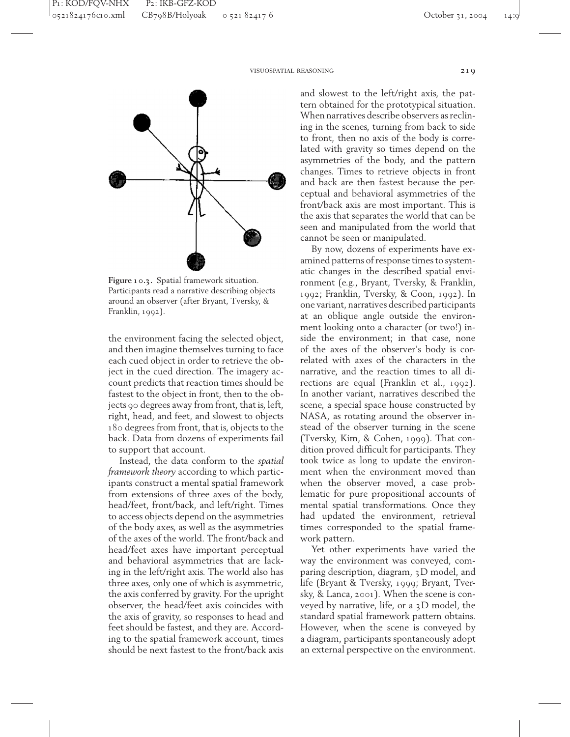0521824176c10.xml CB798B/Holyoak 0 521 82417 6 October 31, 2004 14:9

visuospatial reasoning **219**



**Figure 1 0.3.** Spatial framework situation. Participants read a narrative describing objects around an observer (after Bryant, Tversky, & Franklin, 1992).

the environment facing the selected object, and then imagine themselves turning to face each cued object in order to retrieve the object in the cued direction. The imagery account predicts that reaction times should be fastest to the object in front, then to the objects 90 degrees away from front, that is, left, right, head, and feet, and slowest to objects 180 degrees from front, that is, objects to the back. Data from dozens of experiments fail to support that account.

Instead, the data conform to the *spatial framework theory* according to which participants construct a mental spatial framework from extensions of three axes of the body, head/feet, front/back, and left/right. Times to access objects depend on the asymmetries of the body axes, as well as the asymmetries of the axes of the world. The front/back and head/feet axes have important perceptual and behavioral asymmetries that are lacking in the left/right axis. The world also has three axes, only one of which is asymmetric, the axis conferred by gravity. For the upright observer, the head/feet axis coincides with the axis of gravity, so responses to head and feet should be fastest, and they are. According to the spatial framework account, times should be next fastest to the front/back axis

and slowest to the left/right axis, the pattern obtained for the prototypical situation. When narratives describe observers as reclining in the scenes, turning from back to side to front, then no axis of the body is correlated with gravity so times depend on the asymmetries of the body, and the pattern changes. Times to retrieve objects in front and back are then fastest because the perceptual and behavioral asymmetries of the front/back axis are most important. This is the axis that separates the world that can be seen and manipulated from the world that cannot be seen or manipulated.

By now, dozens of experiments have examined patterns of response times to systematic changes in the described spatial environment (e.g., Bryant, Tversky, & Franklin, 1992; Franklin, Tversky, & Coon, 1992). In one variant, narratives described participants at an oblique angle outside the environment looking onto a character (or two!) inside the environment; in that case, none of the axes of the observer's body is correlated with axes of the characters in the narrative, and the reaction times to all directions are equal (Franklin et al., 1992). In another variant, narratives described the scene, a special space house constructed by NASA, as rotating around the observer instead of the observer turning in the scene (Tversky, Kim, & Cohen, 1999). That condition proved difficult for participants. They took twice as long to update the environment when the environment moved than when the observer moved, a case problematic for pure propositional accounts of mental spatial transformations. Once they had updated the environment, retrieval times corresponded to the spatial framework pattern.

Yet other experiments have varied the way the environment was conveyed, comparing description, diagram, 3D model, and life (Bryant & Tversky, 1999; Bryant, Tversky, & Lanca, 2001). When the scene is conveyed by narrative, life, or a 3D model, the standard spatial framework pattern obtains. However, when the scene is conveyed by a diagram, participants spontaneously adopt an external perspective on the environment.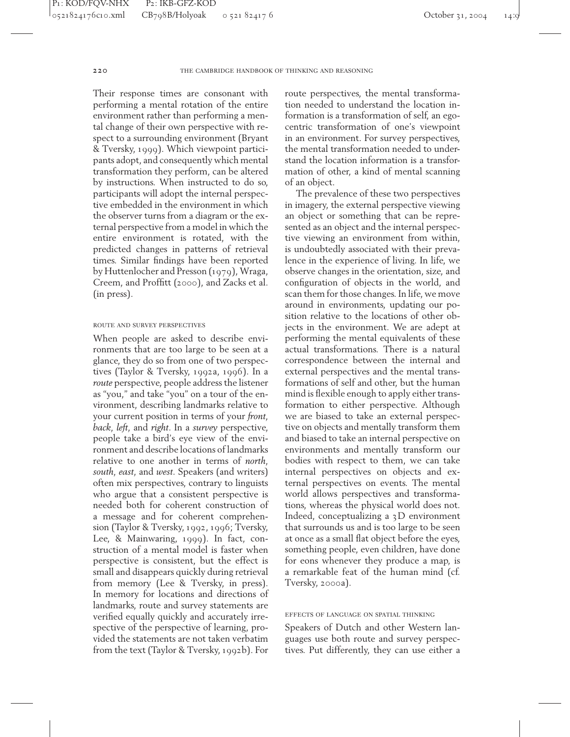Their response times are consonant with performing a mental rotation of the entire environment rather than performing a mental change of their own perspective with respect to a surrounding environment (Bryant & Tversky, 1999). Which viewpoint participants adopt, and consequently which mental transformation they perform, can be altered by instructions. When instructed to do so, participants will adopt the internal perspective embedded in the environment in which the observer turns from a diagram or the external perspective from a model in which the entire environment is rotated, with the predicted changes in patterns of retrieval times. Similar findings have been reported by Huttenlocher and Presson (1979), Wraga, Creem, and Proffitt (2000), and Zacks et al. (in press).

#### route and survey perspectives

When people are asked to describe environments that are too large to be seen at a glance, they do so from one of two perspectives (Taylor & Tversky, 1992a, 1996). In a *route* perspective, people address the listener as "you," and take "you" on a tour of the environment, describing landmarks relative to your current position in terms of your *front, back, left*, and *right*. In a *survey* perspective, people take a bird's eye view of the environment and describe locations of landmarks relative to one another in terms of *north, south, east*, and *west*. Speakers (and writers) often mix perspectives, contrary to linguists who argue that a consistent perspective is needed both for coherent construction of a message and for coherent comprehension (Taylor & Tversky, 1992, 1996; Tversky, Lee, & Mainwaring, 1999). In fact, construction of a mental model is faster when perspective is consistent, but the effect is small and disappears quickly during retrieval from memory (Lee & Tversky, in press). In memory for locations and directions of landmarks, route and survey statements are verified equally quickly and accurately irrespective of the perspective of learning, provided the statements are not taken verbatim from the text (Taylor & Tversky, 1992b). For

route perspectives, the mental transformation needed to understand the location information is a transformation of self, an egocentric transformation of one's viewpoint in an environment. For survey perspectives, the mental transformation needed to understand the location information is a transformation of other, a kind of mental scanning of an object.

The prevalence of these two perspectives in imagery, the external perspective viewing an object or something that can be represented as an object and the internal perspective viewing an environment from within, is undoubtedly associated with their prevalence in the experience of living. In life, we observe changes in the orientation, size, and configuration of objects in the world, and scan them for those changes. In life, we move around in environments, updating our position relative to the locations of other objects in the environment. We are adept at performing the mental equivalents of these actual transformations. There is a natural correspondence between the internal and external perspectives and the mental transformations of self and other, but the human mind is flexible enough to apply either transformation to either perspective. Although we are biased to take an external perspective on objects and mentally transform them and biased to take an internal perspective on environments and mentally transform our bodies with respect to them, we can take internal perspectives on objects and external perspectives on events. The mental world allows perspectives and transformations, whereas the physical world does not. Indeed, conceptualizing a 3D environment that surrounds us and is too large to be seen at once as a small flat object before the eyes, something people, even children, have done for eons whenever they produce a map, is a remarkable feat of the human mind (cf. Tversky, 2000a).

#### effects of language on spatial thinking

Speakers of Dutch and other Western languages use both route and survey perspectives. Put differently, they can use either a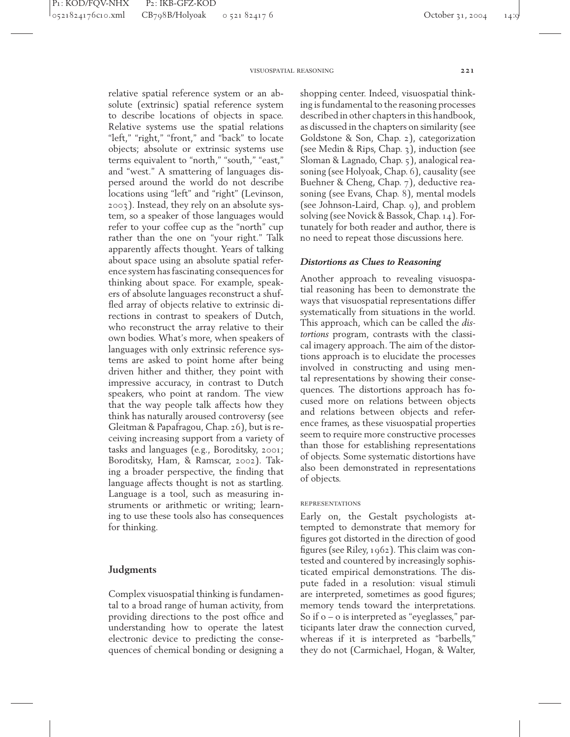relative spatial reference system or an absolute (extrinsic) spatial reference system to describe locations of objects in space. Relative systems use the spatial relations "left," "right," "front," and "back" to locate objects; absolute or extrinsic systems use terms equivalent to "north," "south," "east," and "west." A smattering of languages dispersed around the world do not describe locations using "left" and "right" (Levinson, 2003 ). Instead, they rely on an absolute system, so a speaker of those languages would refer to your coffee cup as the "north" cup rather than the one on "your right." Talk apparently affects thought. Years of talking about space using an absolute spatial reference system has fascinating consequences for thinking about space. For example, speakers of absolute languages reconstruct a shuffled array of objects relative to extrinsic directions in contrast to speakers of Dutch, who reconstruct the array relative to their own bodies. What's more, when speakers of languages with only extrinsic reference systems are asked to point home after being driven hither and thither, they point with impressive accuracy, in contrast to Dutch speakers, who point at random. The view that the way people talk affects how they think has naturally aroused controversy (see Gleitman & Papafragou, Chap. 26), but is receiving increasing support from a variety of tasks and languages (e.g., Boroditsky, 2001; Boroditsky, Ham, & Ramscar, 2002). Taking a broader perspective, the finding that language affects thought is not as startling. Language is a tool, such as measuring instruments or arithmetic or writing; learning to use these tools also has consequences for thinking.

# **Judgments**

Complex visuospatial thinking is fundamental to a broad range of human activity, from providing directions to the post office and understanding how to operate the latest electronic device to predicting the consequences of chemical bonding or designing a

shopping center. Indeed, visuospatial thinking is fundamental to the reasoning processes described in other chapters in this handbook, as discussed in the chapters on similarity (see Goldstone & Son, Chap. 2), categorization (see Medin & Rips, Chap. 3 ), induction (see Sloman & Lagnado, Chap. 5 ), analogical reasoning (see Holyoak, Chap. 6), causality (see Buehner & Cheng, Chap. 7), deductive reasoning (see Evans, Chap. 8), mental models (see Johnson-Laird, Chap. 9), and problem solving (see Novick & Bassok, Chap. 14). Fortunately for both reader and author, there is no need to repeat those discussions here.

# *Distortions as Clues to Reasoning*

Another approach to revealing visuospatial reasoning has been to demonstrate the ways that visuospatial representations differ systematically from situations in the world. This approach, which can be called the *distortions* program, contrasts with the classical imagery approach. The aim of the distortions approach is to elucidate the processes involved in constructing and using mental representations by showing their consequences. The distortions approach has focused more on relations between objects and relations between objects and reference frames, as these visuospatial properties seem to require more constructive processes than those for establishing representations of objects. Some systematic distortions have also been demonstrated in representations of objects.

#### representations

Early on, the Gestalt psychologists attempted to demonstrate that memory for figures got distorted in the direction of good figures (see Riley, 1962). This claim was contested and countered by increasingly sophisticated empirical demonstrations. The dispute faded in a resolution: visual stimuli are interpreted, sometimes as good figures; memory tends toward the interpretations. So if o – o is interpreted as "eyeglasses," participants later draw the connection curved, whereas if it is interpreted as "barbells," they do not (Carmichael, Hogan, & Walter,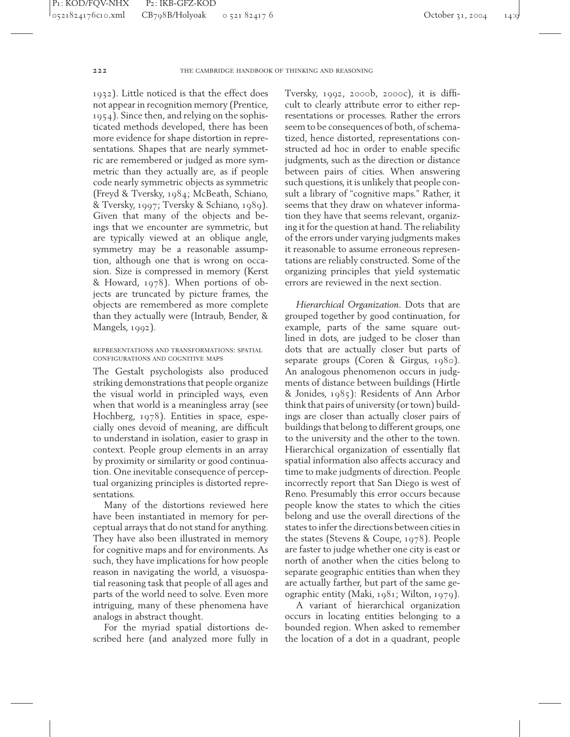1932). Little noticed is that the effect does not appear in recognition memory (Prentice, 1954). Since then, and relying on the sophisticated methods developed, there has been more evidence for shape distortion in representations. Shapes that are nearly symmetric are remembered or judged as more symmetric than they actually are, as if people code nearly symmetric objects as symmetric (Freyd & Tversky, 1984; McBeath, Schiano, & Tversky, 1997; Tversky & Schiano, 1989). Given that many of the objects and beings that we encounter are symmetric, but are typically viewed at an oblique angle, symmetry may be a reasonable assumption, although one that is wrong on occasion. Size is compressed in memory (Kerst & Howard, 1978). When portions of objects are truncated by picture frames, the objects are remembered as more complete than they actually were (Intraub, Bender, & Mangels, 1992).

#### representations and transformations: spatial configurations and cognitive maps

The Gestalt psychologists also produced striking demonstrations that people organize the visual world in principled ways, even when that world is a meaningless array (see Hochberg, 1978). Entities in space, especially ones devoid of meaning, are difficult to understand in isolation, easier to grasp in context. People group elements in an array by proximity or similarity or good continuation. One inevitable consequence of perceptual organizing principles is distorted representations.

Many of the distortions reviewed here have been instantiated in memory for perceptual arrays that do not stand for anything. They have also been illustrated in memory for cognitive maps and for environments. As such, they have implications for how people reason in navigating the world, a visuospatial reasoning task that people of all ages and parts of the world need to solve. Even more intriguing, many of these phenomena have analogs in abstract thought.

For the myriad spatial distortions described here (and analyzed more fully in Tversky, 1992, 2000b, 2000c), it is difficult to clearly attribute error to either representations or processes. Rather the errors seem to be consequences of both, of schematized, hence distorted, representations constructed ad hoc in order to enable specific judgments, such as the direction or distance between pairs of cities. When answering such questions, it is unlikely that people consult a library of "cognitive maps." Rather, it seems that they draw on whatever information they have that seems relevant, organizing it for the question at hand. The reliability of the errors under varying judgments makes it reasonable to assume erroneous representations are reliably constructed. Some of the organizing principles that yield systematic errors are reviewed in the next section.

*Hierarchical Organization.* Dots that are grouped together by good continuation, for example, parts of the same square outlined in dots, are judged to be closer than dots that are actually closer but parts of separate groups (Coren & Girgus, 1980). An analogous phenomenon occurs in judgments of distance between buildings (Hirtle & Jonides, 1985 ): Residents of Ann Arbor think that pairs of university (or town) buildings are closer than actually closer pairs of buildings that belong to different groups, one to the university and the other to the town. Hierarchical organization of essentially flat spatial information also affects accuracy and time to make judgments of direction. People incorrectly report that San Diego is west of Reno. Presumably this error occurs because people know the states to which the cities belong and use the overall directions of the states to infer the directions between cities in the states (Stevens & Coupe, 1978). People are faster to judge whether one city is east or north of another when the cities belong to separate geographic entities than when they are actually farther, but part of the same geographic entity (Maki, 1981; Wilton, 1979).

A variant of hierarchical organization occurs in locating entities belonging to a bounded region. When asked to remember the location of a dot in a quadrant, people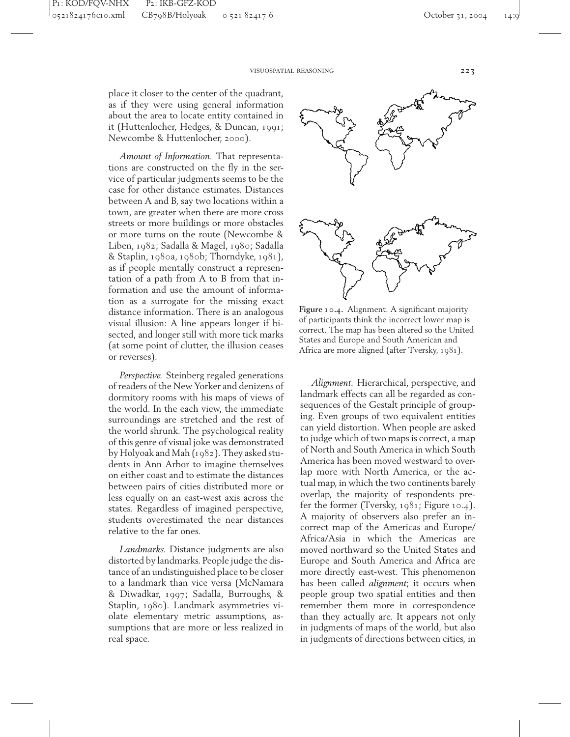P1: KOD/FQV-NHX P2: IKB-GFZ-KOD 0521824176c10.xml CB798B/Holyoak 0 521 82417 6 October 31, 2004 14:9

visuospatial reasoning **223**

place it closer to the center of the quadrant, as if they were using general information about the area to locate entity contained in it (Huttenlocher, Hedges, & Duncan, 1991; Newcombe & Huttenlocher, 2000).

*Amount of Information.* That representations are constructed on the fly in the service of particular judgments seems to be the case for other distance estimates. Distances between A and B, say two locations within a town, are greater when there are more cross streets or more buildings or more obstacles or more turns on the route (Newcombe & Liben, 1982; Sadalla & Magel, 1980; Sadalla & Staplin, 1980a, 1980b; Thorndyke, 1981), as if people mentally construct a representation of a path from A to B from that information and use the amount of information as a surrogate for the missing exact distance information. There is an analogous visual illusion: A line appears longer if bisected, and longer still with more tick marks (at some point of clutter, the illusion ceases or reverses).

*Perspective.* Steinberg regaled generations of readers of the New Yorker and denizens of dormitory rooms with his maps of views of the world. In the each view, the immediate surroundings are stretched and the rest of the world shrunk. The psychological reality of this genre of visual joke was demonstrated by Holyoak and Mah (1982). They asked students in Ann Arbor to imagine themselves on either coast and to estimate the distances between pairs of cities distributed more or less equally on an east-west axis across the states. Regardless of imagined perspective, students overestimated the near distances relative to the far ones.

*Landmarks.* Distance judgments are also distorted by landmarks. People judge the distance of an undistinguished place to be closer to a landmark than vice versa (McNamara & Diwadkar, 1997; Sadalla, Burroughs, & Staplin, 1980). Landmark asymmetries violate elementary metric assumptions, assumptions that are more or less realized in real space.



**Figure 1 0.4.** Alignment. A significant majority of participants think the incorrect lower map is correct. The map has been altered so the United States and Europe and South American and Africa are more aligned (after Tversky, 1981).

*Alignment.* Hierarchical, perspective, and landmark effects can all be regarded as consequences of the Gestalt principle of grouping. Even groups of two equivalent entities can yield distortion. When people are asked to judge which of two maps is correct, a map of North and South America in which South America has been moved westward to overlap more with North America, or the actual map, in which the two continents barely overlap, the majority of respondents prefer the former (Tversky, 1981; Figure 10.4). A majority of observers also prefer an incorrect map of the Americas and Europe/ Africa/Asia in which the Americas are moved northward so the United States and Europe and South America and Africa are more directly east-west. This phenomenon has been called *alignment*; it occurs when people group two spatial entities and then remember them more in correspondence than they actually are. It appears not only in judgments of maps of the world, but also in judgments of directions between cities, in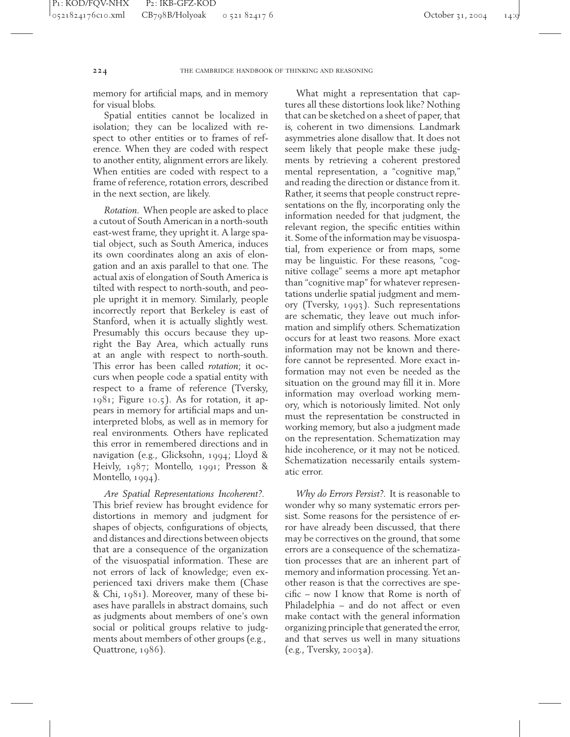memory for artificial maps, and in memory for visual blobs.

Spatial entities cannot be localized in isolation; they can be localized with respect to other entities or to frames of reference. When they are coded with respect to another entity, alignment errors are likely. When entities are coded with respect to a frame of reference, rotation errors, described in the next section, are likely.

*Rotation.* When people are asked to place a cutout of South American in a north-south east-west frame, they upright it. A large spatial object, such as South America, induces its own coordinates along an axis of elongation and an axis parallel to that one. The actual axis of elongation of South America is tilted with respect to north-south, and people upright it in memory. Similarly, people incorrectly report that Berkeley is east of Stanford, when it is actually slightly west. Presumably this occurs because they upright the Bay Area, which actually runs at an angle with respect to north-south. This error has been called *rotation*; it occurs when people code a spatial entity with respect to a frame of reference (Tversky, 1981; Figure 10.5 ). As for rotation, it appears in memory for artificial maps and uninterpreted blobs, as well as in memory for real environments. Others have replicated this error in remembered directions and in navigation (e.g., Glicksohn, 1994; Lloyd & Heivly, 1987; Montello, 1991; Presson & Montello, 1994).

*Are Spatial Representations Incoherent?.* This brief review has brought evidence for distortions in memory and judgment for shapes of objects, configurations of objects, and distances and directions between objects that are a consequence of the organization of the visuospatial information. These are not errors of lack of knowledge; even experienced taxi drivers make them (Chase & Chi, 1981). Moreover, many of these biases have parallels in abstract domains, such as judgments about members of one's own social or political groups relative to judgments about members of other groups (e.g., Quattrone, 1986).

What might a representation that captures all these distortions look like? Nothing that can be sketched on a sheet of paper, that is, coherent in two dimensions. Landmark asymmetries alone disallow that. It does not seem likely that people make these judgments by retrieving a coherent prestored mental representation, a "cognitive map," and reading the direction or distance from it. Rather, it seems that people construct representations on the fly, incorporating only the information needed for that judgment, the relevant region, the specific entities within it. Some of the information may be visuospatial, from experience or from maps, some may be linguistic. For these reasons, "cognitive collage" seems a more apt metaphor than "cognitive map" for whatever representations underlie spatial judgment and memory (Tversky, 1993 ). Such representations are schematic, they leave out much information and simplify others. Schematization occurs for at least two reasons. More exact information may not be known and therefore cannot be represented. More exact information may not even be needed as the situation on the ground may fill it in. More information may overload working memory, which is notoriously limited. Not only must the representation be constructed in working memory, but also a judgment made on the representation. Schematization may hide incoherence, or it may not be noticed. Schematization necessarily entails systematic error.

*Why do Errors Persist?.* It is reasonable to wonder why so many systematic errors persist. Some reasons for the persistence of error have already been discussed, that there may be correctives on the ground, that some errors are a consequence of the schematization processes that are an inherent part of memory and information processing. Yet another reason is that the correctives are specific – now I know that Rome is north of Philadelphia – and do not affect or even make contact with the general information organizing principle that generated the error, and that serves us well in many situations (e.g., Tversky, 2003a).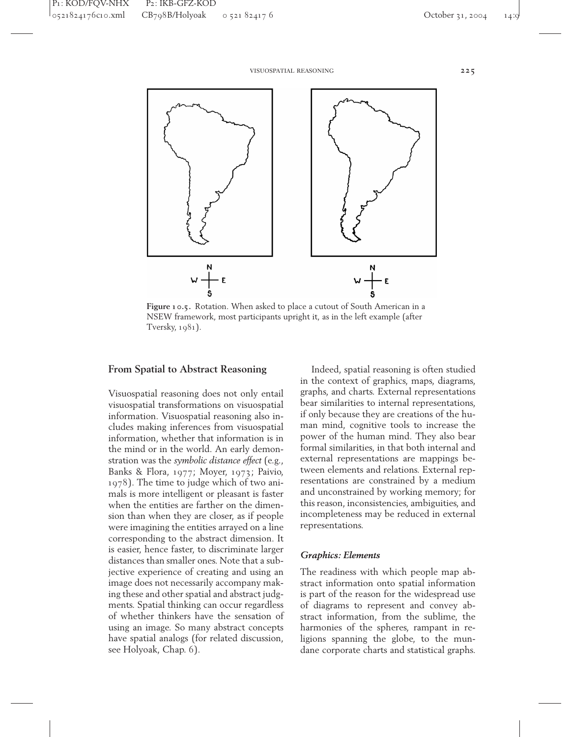

**Figure 1 0.5.** Rotation. When asked to place a cutout of South American in a NSEW framework, most participants upright it, as in the left example (after Tversky, 1981).

# **From Spatial to Abstract Reasoning**

Visuospatial reasoning does not only entail visuospatial transformations on visuospatial information. Visuospatial reasoning also includes making inferences from visuospatial information, whether that information is in the mind or in the world. An early demonstration was the *symbolic distance effect* (e.g., Banks & Flora, 1977; Moyer, 1973 ; Paivio, 1978). The time to judge which of two animals is more intelligent or pleasant is faster when the entities are farther on the dimension than when they are closer, as if people were imagining the entities arrayed on a line corresponding to the abstract dimension. It is easier, hence faster, to discriminate larger distances than smaller ones. Note that a subjective experience of creating and using an image does not necessarily accompany making these and other spatial and abstract judgments. Spatial thinking can occur regardless of whether thinkers have the sensation of using an image. So many abstract concepts have spatial analogs (for related discussion, see Holyoak, Chap. 6).

Indeed, spatial reasoning is often studied in the context of graphics, maps, diagrams, graphs, and charts. External representations bear similarities to internal representations, if only because they are creations of the human mind, cognitive tools to increase the power of the human mind. They also bear formal similarities, in that both internal and external representations are mappings between elements and relations. External representations are constrained by a medium and unconstrained by working memory; for this reason, inconsistencies, ambiguities, and incompleteness may be reduced in external representations.

### *Graphics: Elements*

The readiness with which people map abstract information onto spatial information is part of the reason for the widespread use of diagrams to represent and convey abstract information, from the sublime, the harmonies of the spheres, rampant in religions spanning the globe, to the mundane corporate charts and statistical graphs.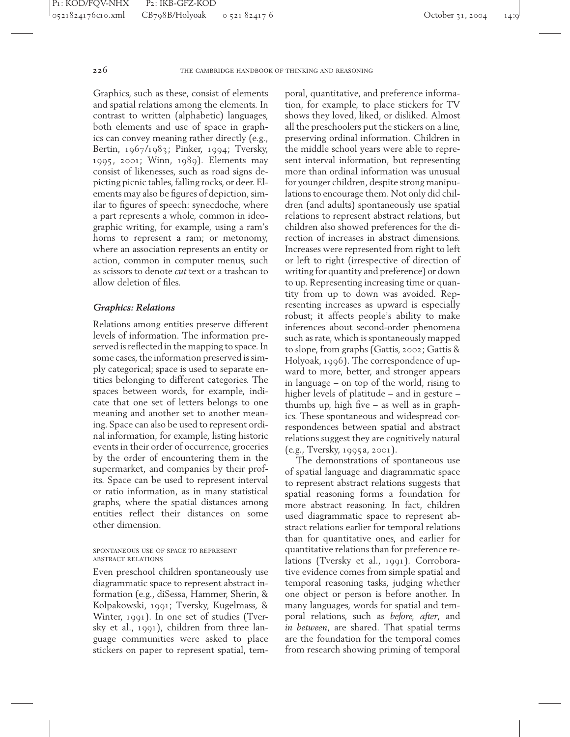Graphics, such as these, consist of elements and spatial relations among the elements. In contrast to written (alphabetic) languages, both elements and use of space in graphics can convey meaning rather directly (e.g., Bertin, 1967/1983; Pinker, 1994; Tversky, 1995 , 2001; Winn, 1989). Elements may consist of likenesses, such as road signs depicting picnic tables, falling rocks, or deer. Elements may also be figures of depiction, similar to figures of speech: synecdoche, where a part represents a whole, common in ideographic writing, for example, using a ram's horns to represent a ram; or metonomy, where an association represents an entity or action, common in computer menus, such as scissors to denote *cut* text or a trashcan to allow deletion of files.

# *Graphics: Relations*

Relations among entities preserve different levels of information. The information preserved is reflected in the mapping to space. In some cases, the information preserved is simply categorical; space is used to separate entities belonging to different categories. The spaces between words, for example, indicate that one set of letters belongs to one meaning and another set to another meaning. Space can also be used to represent ordinal information, for example, listing historic events in their order of occurrence, groceries by the order of encountering them in the supermarket, and companies by their profits. Space can be used to represent interval or ratio information, as in many statistical graphs, where the spatial distances among entities reflect their distances on some other dimension.

#### spontaneous use of space to represent abstract relations

Even preschool children spontaneously use diagrammatic space to represent abstract information (e.g., diSessa, Hammer, Sherin, & Kolpakowski, 1991; Tversky, Kugelmass, & Winter, 1991). In one set of studies (Tversky et al., 1991), children from three language communities were asked to place stickers on paper to represent spatial, tem-

poral, quantitative, and preference information, for example, to place stickers for TV shows they loved, liked, or disliked. Almost all the preschoolers put the stickers on a line, preserving ordinal information. Children in the middle school years were able to represent interval information, but representing more than ordinal information was unusual for younger children, despite strong manipulations to encourage them. Not only did children (and adults) spontaneously use spatial relations to represent abstract relations, but children also showed preferences for the direction of increases in abstract dimensions. Increases were represented from right to left or left to right (irrespective of direction of writing for quantity and preference) or down to up. Representing increasing time or quantity from up to down was avoided. Representing increases as upward is especially robust; it affects people's ability to make inferences about second-order phenomena such as rate, which is spontaneously mapped to slope, from graphs (Gattis, 2002; Gattis & Holyoak, 1996). The correspondence of upward to more, better, and stronger appears in language – on top of the world, rising to higher levels of platitude – and in gesture – thumbs up, high five – as well as in graphics. These spontaneous and widespread correspondences between spatial and abstract relations suggest they are cognitively natural (e.g., Tversky, 1995a, 2001).

The demonstrations of spontaneous use of spatial language and diagrammatic space to represent abstract relations suggests that spatial reasoning forms a foundation for more abstract reasoning. In fact, children used diagrammatic space to represent abstract relations earlier for temporal relations than for quantitative ones, and earlier for quantitative relations than for preference relations (Tversky et al., 1991). Corroborative evidence comes from simple spatial and temporal reasoning tasks, judging whether one object or person is before another. In many languages, words for spatial and temporal relations, such as *before, after*, and *in between*, are shared. That spatial terms are the foundation for the temporal comes from research showing priming of temporal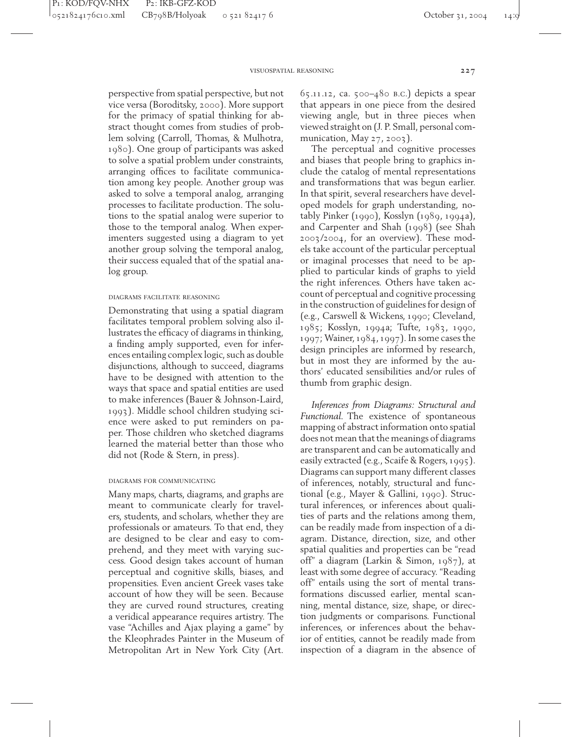P1: KOD/FQV-NHX P2: IKB-GFZ-KOD  $\frac{1}{3}$ 0521824176c10.xml CB798B/Holyoak 0 521 82417 6 October 31, 2004 14:9

perspective from spatial perspective, but not vice versa (Boroditsky, 2000). More support for the primacy of spatial thinking for abstract thought comes from studies of prob-

lem solving (Carroll, Thomas, & Mulhotra, 1980). One group of participants was asked to solve a spatial problem under constraints, arranging offices to facilitate communication among key people. Another group was asked to solve a temporal analog, arranging processes to facilitate production. The solutions to the spatial analog were superior to those to the temporal analog. When experimenters suggested using a diagram to yet another group solving the temporal analog, their success equaled that of the spatial analog group.

#### diagrams facilitate reasoning

Demonstrating that using a spatial diagram facilitates temporal problem solving also illustrates the efficacy of diagrams in thinking, a finding amply supported, even for inferences entailing complex logic, such as double disjunctions, although to succeed, diagrams have to be designed with attention to the ways that space and spatial entities are used to make inferences (Bauer & Johnson-Laird, 1993 ). Middle school children studying science were asked to put reminders on paper. Those children who sketched diagrams learned the material better than those who did not (Rode & Stern, in press).

#### diagrams for communicating

Many maps, charts, diagrams, and graphs are meant to communicate clearly for travelers, students, and scholars, whether they are professionals or amateurs. To that end, they are designed to be clear and easy to comprehend, and they meet with varying success. Good design takes account of human perceptual and cognitive skills, biases, and propensities. Even ancient Greek vases take account of how they will be seen. Because they are curved round structures, creating a veridical appearance requires artistry. The vase "Achilles and Ajax playing a game" by the Kleophrades Painter in the Museum of Metropolitan Art in New York City (Art.

65 .11.12, ca. 500–480 b.c.) depicts a spear that appears in one piece from the desired viewing angle, but in three pieces when viewed straight on (J. P. Small, personal communication, May  $27, 2003$ ).

The perceptual and cognitive processes and biases that people bring to graphics include the catalog of mental representations and transformations that was begun earlier. In that spirit, several researchers have developed models for graph understanding, notably Pinker (1990), Kosslyn (1989, 1994a), and Carpenter and Shah (1998) (see Shah 2003 /2004, for an overview). These models take account of the particular perceptual or imaginal processes that need to be applied to particular kinds of graphs to yield the right inferences. Others have taken account of perceptual and cognitive processing in the construction of guidelines for design of (e.g., Carswell & Wickens, 1990; Cleveland, 1985 ; Kosslyn, 1994a; Tufte, 1983 , 1990, 1997; Wainer, 1984, 1997). In some cases the design principles are informed by research, but in most they are informed by the authors' educated sensibilities and/or rules of thumb from graphic design.

*Inferences from Diagrams: Structural and Functional.* The existence of spontaneous mapping of abstract information onto spatial does not mean that the meanings of diagrams are transparent and can be automatically and easily extracted (e.g., Scaife & Rogers, 1995 ). Diagrams can support many different classes of inferences, notably, structural and functional (e.g., Mayer & Gallini, 1990). Structural inferences, or inferences about qualities of parts and the relations among them, can be readily made from inspection of a diagram. Distance, direction, size, and other spatial qualities and properties can be "read off" a diagram (Larkin & Simon, 1987), at least with some degree of accuracy. "Reading off" entails using the sort of mental transformations discussed earlier, mental scanning, mental distance, size, shape, or direction judgments or comparisons. Functional inferences, or inferences about the behavior of entities, cannot be readily made from inspection of a diagram in the absence of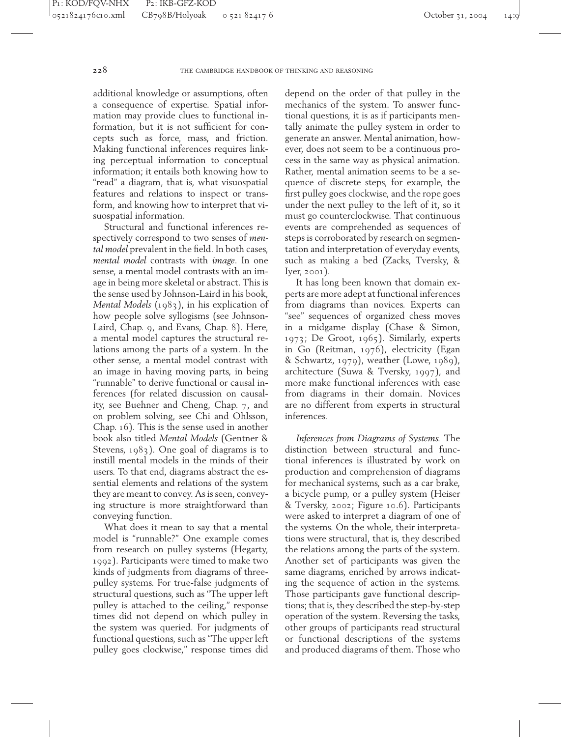additional knowledge or assumptions, often a consequence of expertise. Spatial information may provide clues to functional information, but it is not sufficient for concepts such as force, mass, and friction. Making functional inferences requires linking perceptual information to conceptual information; it entails both knowing how to "read" a diagram, that is, what visuospatial features and relations to inspect or transform, and knowing how to interpret that visuospatial information.

Structural and functional inferences respectively correspond to two senses of *mental model* prevalent in the field. In both cases, *mental model* contrasts with *image*. In one sense, a mental model contrasts with an image in being more skeletal or abstract. This is the sense used by Johnson-Laird in his book, *Mental Models* (1983 ), in his explication of how people solve syllogisms (see Johnson-Laird, Chap. 9, and Evans, Chap. 8). Here, a mental model captures the structural relations among the parts of a system. In the other sense, a mental model contrast with an image in having moving parts, in being "runnable" to derive functional or causal inferences (for related discussion on causality, see Buehner and Cheng, Chap. 7, and on problem solving, see Chi and Ohlsson, Chap. 16). This is the sense used in another book also titled *Mental Models* (Gentner & Stevens, 1983). One goal of diagrams is to instill mental models in the minds of their users. To that end, diagrams abstract the essential elements and relations of the system they are meant to convey. As is seen, conveying structure is more straightforward than conveying function.

What does it mean to say that a mental model is "runnable?" One example comes from research on pulley systems (Hegarty, 1992). Participants were timed to make two kinds of judgments from diagrams of threepulley systems. For true-false judgments of structural questions, such as "The upper left pulley is attached to the ceiling," response times did not depend on which pulley in the system was queried. For judgments of functional questions, such as "The upper left pulley goes clockwise," response times did

depend on the order of that pulley in the mechanics of the system. To answer functional questions, it is as if participants mentally animate the pulley system in order to generate an answer. Mental animation, however, does not seem to be a continuous process in the same way as physical animation. Rather, mental animation seems to be a sequence of discrete steps, for example, the first pulley goes clockwise, and the rope goes under the next pulley to the left of it, so it must go counterclockwise. That continuous events are comprehended as sequences of steps is corroborated by research on segmentation and interpretation of everyday events, such as making a bed (Zacks, Tversky, & Iyer, 2001).

It has long been known that domain experts are more adept at functional inferences from diagrams than novices. Experts can "see" sequences of organized chess moves in a midgame display (Chase & Simon, 1973 ; De Groot, 1965 ). Similarly, experts in Go (Reitman, 1976), electricity (Egan & Schwartz, 1979), weather (Lowe, 1989), architecture (Suwa & Tversky, 1997), and more make functional inferences with ease from diagrams in their domain. Novices are no different from experts in structural inferences.

*Inferences from Diagrams of Systems.* The distinction between structural and functional inferences is illustrated by work on production and comprehension of diagrams for mechanical systems, such as a car brake, a bicycle pump, or a pulley system (Heiser & Tversky, 2002; Figure 10.6). Participants were asked to interpret a diagram of one of the systems. On the whole, their interpretations were structural, that is, they described the relations among the parts of the system. Another set of participants was given the same diagrams, enriched by arrows indicating the sequence of action in the systems. Those participants gave functional descriptions; that is, they described the step-by-step operation of the system. Reversing the tasks, other groups of participants read structural or functional descriptions of the systems and produced diagrams of them. Those who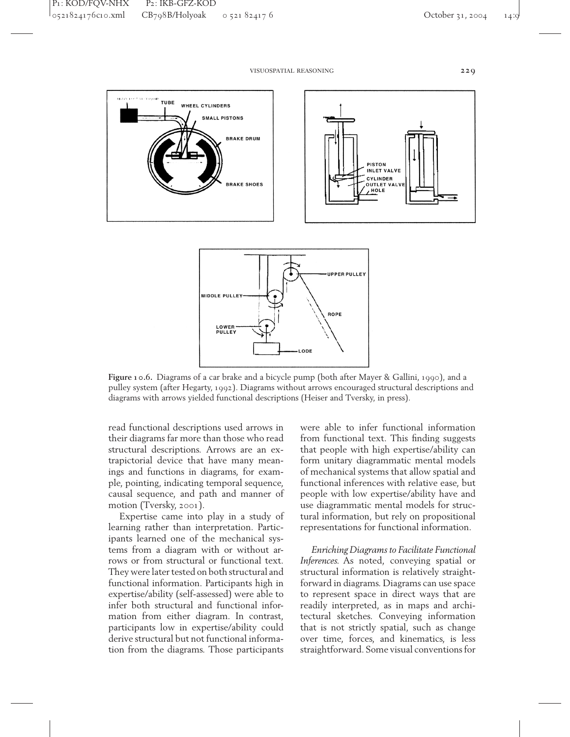

**Figure 1 0.6.** Diagrams of a car brake and a bicycle pump (both after Mayer & Gallini, 1990), and a pulley system (after Hegarty, 1992). Diagrams without arrows encouraged structural descriptions and diagrams with arrows yielded functional descriptions (Heiser and Tversky, in press).

read functional descriptions used arrows in their diagrams far more than those who read structural descriptions. Arrows are an extrapictorial device that have many meanings and functions in diagrams, for example, pointing, indicating temporal sequence, causal sequence, and path and manner of motion (Tversky, 2001).

Expertise came into play in a study of learning rather than interpretation. Participants learned one of the mechanical systems from a diagram with or without arrows or from structural or functional text. They were later tested on both structural and functional information. Participants high in expertise/ability (self-assessed) were able to infer both structural and functional information from either diagram. In contrast, participants low in expertise/ability could derive structural but not functional information from the diagrams. Those participants were able to infer functional information from functional text. This finding suggests that people with high expertise/ability can form unitary diagrammatic mental models of mechanical systems that allow spatial and functional inferences with relative ease, but people with low expertise/ability have and use diagrammatic mental models for structural information, but rely on propositional representations for functional information.

*Enriching Diagrams to Facilitate Functional Inferences.* As noted, conveying spatial or structural information is relatively straightforward in diagrams. Diagrams can use space to represent space in direct ways that are readily interpreted, as in maps and architectural sketches. Conveying information that is not strictly spatial, such as change over time, forces, and kinematics, is less straightforward. Some visual conventions for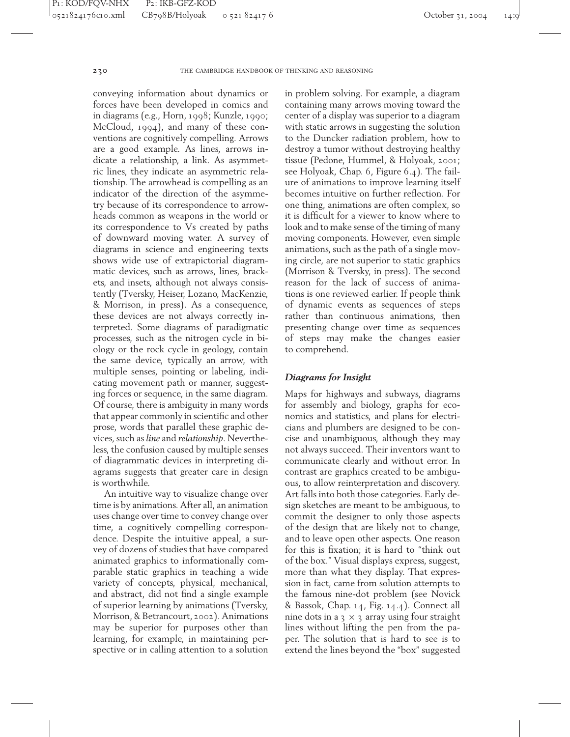conveying information about dynamics or forces have been developed in comics and in diagrams (e.g., Horn, 1998; Kunzle, 1990; McCloud, 1994), and many of these conventions are cognitively compelling. Arrows are a good example. As lines, arrows indicate a relationship, a link. As asymmetric lines, they indicate an asymmetric relationship. The arrowhead is compelling as an indicator of the direction of the asymmetry because of its correspondence to arrowheads common as weapons in the world or its correspondence to Vs created by paths of downward moving water. A survey of diagrams in science and engineering texts shows wide use of extrapictorial diagrammatic devices, such as arrows, lines, brackets, and insets, although not always consistently (Tversky, Heiser, Lozano, MacKenzie, & Morrison, in press). As a consequence, these devices are not always correctly interpreted. Some diagrams of paradigmatic processes, such as the nitrogen cycle in biology or the rock cycle in geology, contain the same device, typically an arrow, with multiple senses, pointing or labeling, indicating movement path or manner, suggesting forces or sequence, in the same diagram. Of course, there is ambiguity in many words that appear commonly in scientific and other prose, words that parallel these graphic devices, such as *line* and *relationship*. Nevertheless, the confusion caused by multiple senses of diagrammatic devices in interpreting diagrams suggests that greater care in design is worthwhile.

An intuitive way to visualize change over time is by animations. After all, an animation uses change over time to convey change over time, a cognitively compelling correspondence. Despite the intuitive appeal, a survey of dozens of studies that have compared animated graphics to informationally comparable static graphics in teaching a wide variety of concepts, physical, mechanical, and abstract, did not find a single example of superior learning by animations (Tversky, Morrison, & Betrancourt, 2002). Animations may be superior for purposes other than learning, for example, in maintaining perspective or in calling attention to a solution

in problem solving. For example, a diagram containing many arrows moving toward the center of a display was superior to a diagram with static arrows in suggesting the solution to the Duncker radiation problem, how to destroy a tumor without destroying healthy tissue (Pedone, Hummel, & Holyoak, 2001; see Holyoak, Chap. 6, Figure 6.4). The failure of animations to improve learning itself becomes intuitive on further reflection. For one thing, animations are often complex, so it is difficult for a viewer to know where to look and to make sense of the timing of many moving components. However, even simple animations, such as the path of a single moving circle, are not superior to static graphics (Morrison & Tversky, in press). The second reason for the lack of success of animations is one reviewed earlier. If people think of dynamic events as sequences of steps rather than continuous animations, then presenting change over time as sequences of steps may make the changes easier to comprehend.

## *Diagrams for Insight*

Maps for highways and subways, diagrams for assembly and biology, graphs for economics and statistics, and plans for electricians and plumbers are designed to be concise and unambiguous, although they may not always succeed. Their inventors want to communicate clearly and without error. In contrast are graphics created to be ambiguous, to allow reinterpretation and discovery. Art falls into both those categories. Early design sketches are meant to be ambiguous, to commit the designer to only those aspects of the design that are likely not to change, and to leave open other aspects. One reason for this is fixation; it is hard to "think out of the box." Visual displays express, suggest, more than what they display. That expression in fact, came from solution attempts to the famous nine-dot problem (see Novick & Bassok, Chap. 14, Fig. 14.4). Connect all nine dots in a  $3 \times 3$  array using four straight lines without lifting the pen from the paper. The solution that is hard to see is to extend the lines beyond the "box" suggested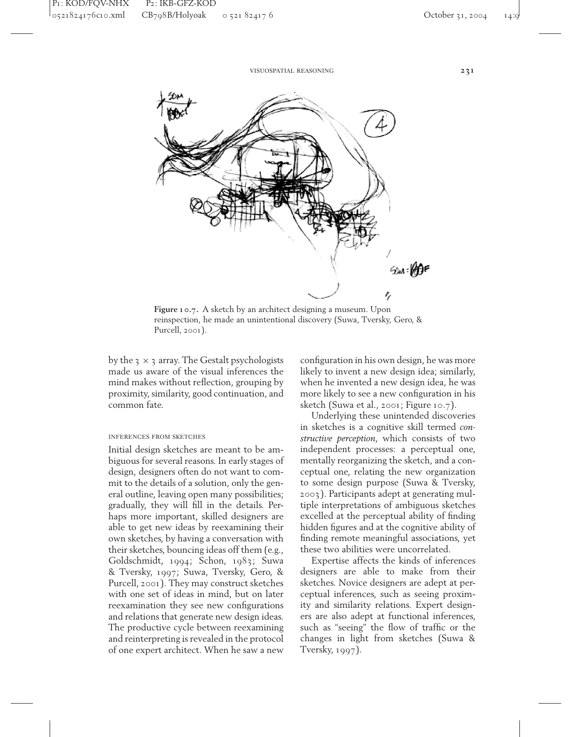

**Figure 1 0.7.** A sketch by an architect designing a museum. Upon reinspection, he made an unintentional discovery (Suwa, Tversky, Gero, & Purcell, 2001).

by the  $3 \times 3$  array. The Gestalt psychologists made us aware of the visual inferences the mind makes without reflection, grouping by proximity, similarity, good continuation, and common fate.

#### inferences from sketches

Initial design sketches are meant to be ambiguous for several reasons. In early stages of design, designers often do not want to commit to the details of a solution, only the general outline, leaving open many possibilities; gradually, they will fill in the details. Perhaps more important, skilled designers are able to get new ideas by reexamining their own sketches, by having a conversation with their sketches, bouncing ideas off them (e.g., Goldschmidt, 1994; Schon, 1983; Suwa & Tversky, 1997; Suwa, Tversky, Gero, & Purcell, 2001). They may construct sketches with one set of ideas in mind, but on later reexamination they see new configurations and relations that generate new design ideas. The productive cycle between reexamining and reinterpreting is revealed in the protocol of one expert architect. When he saw a new

configuration in his own design, he was more likely to invent a new design idea; similarly, when he invented a new design idea, he was more likely to see a new configuration in his sketch (Suwa et al., 2001; Figure 10.7).

Underlying these unintended discoveries in sketches is a cognitive skill termed *constructive perception*, which consists of two independent processes: a perceptual one, mentally reorganizing the sketch, and a conceptual one, relating the new organization to some design purpose (Suwa & Tversky, 2003 ). Participants adept at generating multiple interpretations of ambiguous sketches excelled at the perceptual ability of finding hidden figures and at the cognitive ability of finding remote meaningful associations, yet these two abilities were uncorrelated.

Expertise affects the kinds of inferences designers are able to make from their sketches. Novice designers are adept at perceptual inferences, such as seeing proximity and similarity relations. Expert designers are also adept at functional inferences, such as "seeing" the flow of traffic or the changes in light from sketches (Suwa & Tversky, 1997).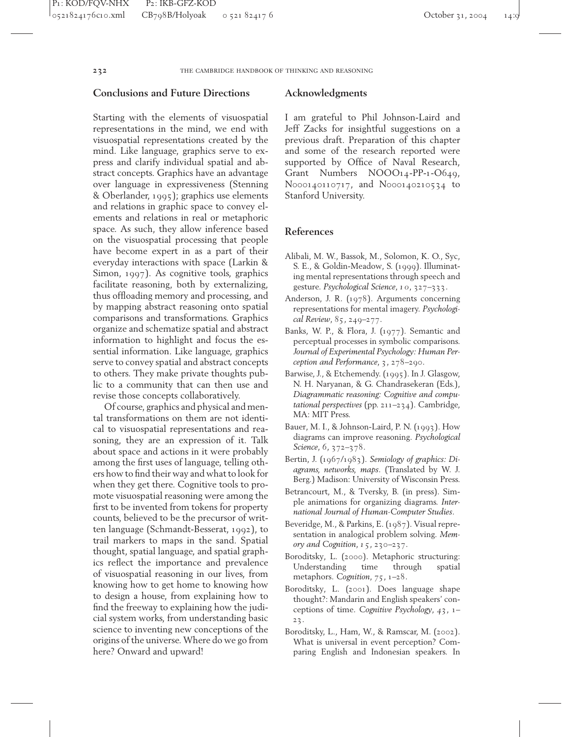# **Conclusions and Future Directions**

Starting with the elements of visuospatial representations in the mind, we end with visuospatial representations created by the mind. Like language, graphics serve to express and clarify individual spatial and abstract concepts. Graphics have an advantage over language in expressiveness (Stenning & Oberlander, 1995 ); graphics use elements and relations in graphic space to convey elements and relations in real or metaphoric space. As such, they allow inference based on the visuospatial processing that people have become expert in as a part of their everyday interactions with space (Larkin & Simon, 1997). As cognitive tools, graphics facilitate reasoning, both by externalizing, thus offloading memory and processing, and by mapping abstract reasoning onto spatial comparisons and transformations. Graphics organize and schematize spatial and abstract information to highlight and focus the essential information. Like language, graphics serve to convey spatial and abstract concepts to others. They make private thoughts public to a community that can then use and revise those concepts collaboratively.

Of course, graphics and physical and mental transformations on them are not identical to visuospatial representations and reasoning, they are an expression of it. Talk about space and actions in it were probably among the first uses of language, telling others how to find their way and what to look for when they get there. Cognitive tools to promote visuospatial reasoning were among the first to be invented from tokens for property counts, believed to be the precursor of written language (Schmandt-Besserat, 1992), to trail markers to maps in the sand. Spatial thought, spatial language, and spatial graphics reflect the importance and prevalence of visuospatial reasoning in our lives, from knowing how to get home to knowing how to design a house, from explaining how to find the freeway to explaining how the judicial system works, from understanding basic science to inventing new conceptions of the origins of the universe. Where do we go from here? Onward and upward!

# **Acknowledgments**

I am grateful to Phil Johnson-Laird and Jeff Zacks for insightful suggestions on a previous draft. Preparation of this chapter and some of the research reported were supported by Office of Naval Research, Grant Numbers NOOO14-PP-1-O649, N000140110717, and N000140210534 to Stanford University.

# **References**

- Alibali, M. W., Bassok, M., Solomon, K. O., Syc, S. E., & Goldin-Meadow, S. (1999). Illuminating mental representations through speech and gesture. *Psychological Science*, *1 0*, 327–333 .
- Anderson, J. R. (1978). Arguments concerning representations for mental imagery. *Psychological Review*, *85* , 249–277.
- Banks, W. P., & Flora, J. (1977). Semantic and perceptual processes in symbolic comparisons. *Journal of Experimental Psychology: Human Perception and Performance*, *3* , 278–290.
- Barwise, J., & Etchemendy. (1995 ). In J. Glasgow, N. H. Naryanan, & G. Chandrasekeran (Eds.), *Diagrammatic reasoning: Cognitive and computational perspectives* (pp. 211–234). Cambridge, MA: MIT Press.
- Bauer, M. I., & Johnson-Laird, P. N. (1993 ). How diagrams can improve reasoning. *Psychological Science*, *6*, 372–378.
- Bertin, J. (1967/1983 ). *Semiology of graphics: Diagrams, networks, maps*. (Translated by W. J. Berg.) Madison: University of Wisconsin Press.
- Betrancourt, M., & Tversky, B. (in press). Simple animations for organizing diagrams. *International Journal of Human-Computer Studies*.
- Beveridge, M., & Parkins, E. (1987). Visual representation in analogical problem solving. *Memory and Cognition*, *1 5* , 230–237.
- Boroditsky, L. (2000). Metaphoric structuring: Understanding time through spatial metaphors. *Cognition*, *75* , 1–28.
- Boroditsky, L. (2001). Does language shape thought?: Mandarin and English speakers' conceptions of time. *Cognitive Psychology*, *43* , 1– 23 .
- Boroditsky, L., Ham, W., & Ramscar, M. (2002). What is universal in event perception? Comparing English and Indonesian speakers. In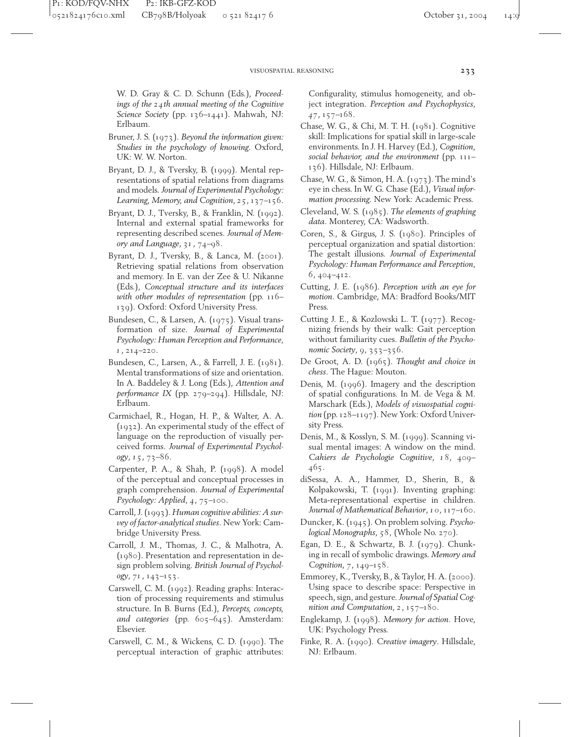W. D. Gray & C. D. Schunn (Eds.), *Proceedings of the 2 4th annual meeting of the Cognitive Science Society* (pp. 136–1 441). Mahwah, NJ: Erlbaum.

- Bruner, J. S. (1973 ). *Beyond the information given: Studies in the psychology of knowing*. Oxford, UK: W. W. Norton.
- Bryant, D. J., & Tversky, B. (1999). Mental representations of spatial relations from diagrams and models. *Journal of Experimental Psychology: Learning, Memory, and Cognition*, *2 5* , 137–156.
- Bryant, D. J., Tversky, B., & Franklin, N. (1992). Internal and external spatial frameworks for representing described scenes. *Journal of Memory and Language*, *31* , 74–98.
- Byrant, D. J., Tversky, B., & Lanca, M. (2001). Retrieving spatial relations from observation and memory. In E. van der Zee & U. Nikanne (Eds.), *Conceptual structure and its interfaces with other modules of representation* (pp. 116– 139). Oxford: Oxford University Press.
- Bundesen, C., & Larsen, A. (1975 ). Visual transformation of size. *Journal of Experimental Psychology: Human Perception and Performance*, *1* , 214–220.
- Bundesen, C., Larsen, A., & Farrell, J. E. (1981). Mental transformations of size and orientation. In A. Baddeley & J. Long (Eds.), *Attention and performance IX* (pp. 279–294). Hillsdale, NJ: Erlbaum.
- Carmichael, R., Hogan, H. P., & Walter, A. A. (1932). An experimental study of the effect of language on the reproduction of visually perceived forms. *Journal of Experimental Psychology*, *1 5* , 73–86.
- Carpenter, P. A., & Shah, P. (1998). A model of the perceptual and conceptual processes in graph comprehension. *Journal of Experimental Psychology: Applied*, *4*, 75–100.
- Carroll, J. (1993 ). *Human cognitive abilities: A survey of factor-analytical studies*. New York: Cambridge University Press.
- Carroll, J. M., Thomas, J. C., & Malhotra, A. (1980). Presentation and representation in design problem solving. *British Journal of Psychology*, *71* , 143–153 .
- Carswell, C. M. (1992). Reading graphs: Interaction of processing requirements and stimulus structure. In B. Burns (Ed.), *Percepts, concepts,* and categories (pp. 605-645). Amsterdam: Elsevier.
- Carswell, C. M., & Wickens, C. D. (1990). The perceptual interaction of graphic attributes:

Configurality, stimulus homogeneity, and object integration. *Perception and Psychophysics*, *47*, 157–168.

- Chase, W. G., & Chi, M. T. H. (1981). Cognitive skill: Implications for spatial skill in large-scale environments. In J. H. Harvey (Ed.), *Cognition, social behavior, and the environment* (pp. 111– 136). Hillsdale, NJ: Erlbaum.
- Chase, W. G., & Simon, H. A. (1973 ). The mind's eye in chess. In W. G. Chase (Ed.), *Visual information processing*. New York: Academic Press.
- Cleveland, W. S. (1985 ). *The elements of graphing data*. Monterey, CA: Wadsworth.
- Coren, S., & Girgus, J. S. (1980). Principles of perceptual organization and spatial distortion: The gestalt illusions. *Journal of Experimental Psychology: Human Performance and Perception*, *6*, 404–412.
- Cutting, J. E. (1986). *Perception with an eye for motion*. Cambridge, MA: Bradford Books/MIT Press.
- Cutting J. E., & Kozlowski L. T. (1977). Recognizing friends by their walk: Gait perception without familiarity cues. *Bulletin of the Psychonomic Society*, *9*, 353–356.
- De Groot, A. D. (1965 ). *Thought and choice in chess*. The Hague: Mouton.
- Denis, M. (1996). Imagery and the description of spatial configurations. In M. de Vega & M. Marschark (Eds.), *Models of visuospatial cognition* (pp. 128–1197). New York: Oxford University Press.
- Denis, M., & Kosslyn, S. M. (1999). Scanning visual mental images: A window on the mind. *Cahiers de Psychologie Cognitive*, *1 8*, 409– 465 .
- diSessa, A. A., Hammer, D., Sherin, B., & Kolpakowski, T. (1991). Inventing graphing: Meta-representational expertise in children. *Journal of Mathematical Behavior*, *1 0*, 117–160.
- Duncker, K. (1945 ). On problem solving. *Psychological Monographs*, *58*, (Whole No. 270).
- Egan, D. E., & Schwartz, B. J. (1979). Chunking in recall of symbolic drawings. *Memory and Cognition*, *7*, 149–158.
- Emmorey, K., Tversky, B., & Taylor, H. A. (2000). Using space to describe space: Perspective in speech, sign, and gesture. *Journal of Spatial Cognition and Computation*, *2* , 157–180.
- Englekamp, J. (1998). *Memory for action*. Hove, UK: Psychology Press.
- Finke, R. A. (1990). *Creative imagery*. Hillsdale, NJ: Erlbaum.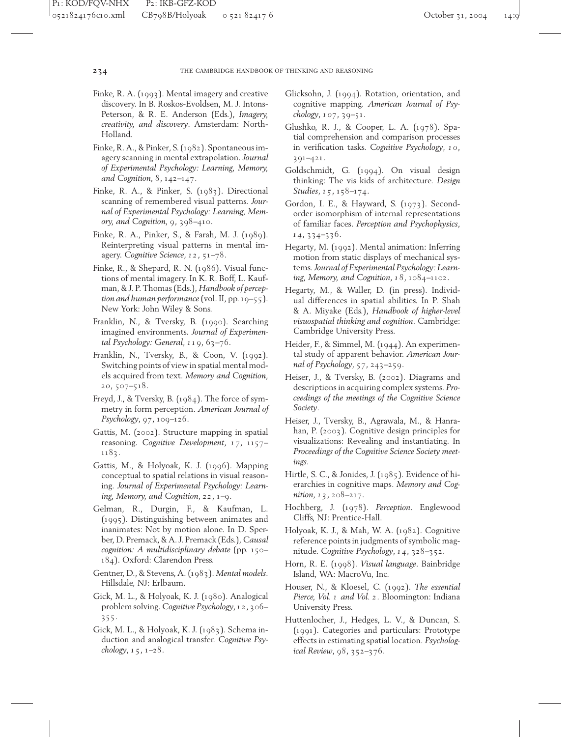- Finke, R. A. (1993 ). Mental imagery and creative discovery. In B. Roskos-Evoldsen, M. J. Intons-Peterson, & R. E. Anderson (Eds.), *Imagery, creativity, and discovery*. Amsterdam: North-Holland.
- Finke, R. A., & Pinker, S. (1982). Spontaneous imagery scanning in mental extrapolation. *Journal of Experimental Psychology: Learning, Memory, and Cognition*, *8*, 142–147.
- Finke, R. A., & Pinker, S. (1983). Directional scanning of remembered visual patterns. *Journal of Experimental Psychology: Learning, Memory, and Cognition*, *9*, 398–410.
- Finke, R. A., Pinker, S., & Farah, M. J. (1989). Reinterpreting visual patterns in mental imagery. *Cognitive Science*, *1 2* , 51–78.
- Finke, R., & Shepard, R. N. (1986). Visual functions of mental imagery. In K. R. Boff, L. Kaufman, & J. P. Thomas (Eds.), *Handbook of perception and human performance* (vol. II, pp. 19–55 ). New York: John Wiley & Sons.
- Franklin, N., & Tversky, B. (1990). Searching imagined environments. *Journal of Experimental Psychology: General*, *119*, 63–76.
- Franklin, N., Tversky, B., & Coon, V. (1992). Switching points of view in spatial mental models acquired from text. *Memory and Cognition*, *2 0*, 507–518.
- Freyd, J., & Tversky, B. (1984). The force of symmetry in form perception. *American Journal of Psychology*, *97*, 109–126.
- Gattis, M. (2002). Structure mapping in spatial reasoning. *Cognitive Development*, *1 7*, 1157– 1183 .
- Gattis, M., & Holyoak, K. J. (1996). Mapping conceptual to spatial relations in visual reasoning. *Journal of Experimental Psychology: Learning, Memory, and Cognition*, *2 2* , 1–9.
- Gelman, R., Durgin, F., & Kaufman, L. (1995 ). Distinguishing between animates and inanimates: Not by motion alone. In D. Sperber, D. Premack, & A. J. Premack (Eds.), *Causal cognition: A multidisciplinary debate* (pp. 150– 184). Oxford: Clarendon Press.
- Gentner, D., & Stevens, A. (1983 ). *Mental models*. Hillsdale, NJ: Erlbaum.
- Gick, M. L., & Holyoak, K. J. (1980). Analogical problem solving. *Cognitive Psychology*, *1 2* , 306– 355 .
- Gick, M. L., & Holyoak, K. J. (1983 ). Schema induction and analogical transfer. *Cognitive Psychology*, *1 5* , 1–28.
- Glicksohn, J. (1994). Rotation, orientation, and cognitive mapping. *American Journal of Psychology*, *1 07*, 39–51.
- Glushko, R. J., & Cooper, L. A. (1978). Spatial comprehension and comparison processes in verification tasks. *Cognitive Psychology*, *1 0*, 391–421.
- Goldschmidt, G. (1994). On visual design thinking: The vis kids of architecture. *Design Studies*, 15, 158–174.
- Gordon, I. E., & Hayward, S. (1973 ). Secondorder isomorphism of internal representations of familiar faces. *Perception and Psychophysics*, *1 4*, 334–336.
- Hegarty, M. (1992). Mental animation: Inferring motion from static displays of mechanical systems. *Journal of Experimental Psychology: Learning, Memory, and Cognition*, *1 8*, 1084–1102.
- Hegarty, M., & Waller, D. (in press). Individual differences in spatial abilities. In P. Shah & A. Miyake (Eds.), *Handbook of higher-level visuospatial thinking and cognition*. Cambridge: Cambridge University Press.
- Heider, F., & Simmel, M. (1944). An experimental study of apparent behavior. *American Journal of Psychology*, *57*, 243–259.
- Heiser, J., & Tversky, B. (2002). Diagrams and descriptions in acquiring complex systems. *Proceedings of the meetings of the Cognitive Science Society*.
- Heiser, J., Tversky, B., Agrawala, M., & Hanrahan, P. (2003). Cognitive design principles for visualizations: Revealing and instantiating. In *Proceedings of the Cognitive Science Society meetings*.
- Hirtle, S. C., & Jonides, J. (1985 ). Evidence of hierarchies in cognitive maps. *Memory and Cognition*, *1 3* , 208–217.
- Hochberg, J. (1978). *Perception*. Englewood Cliffs, NJ: Prentice-Hall.
- Holyoak, K. J., & Mah, W. A. (1982). Cognitive reference points in judgments of symbolic magnitude. *Cognitive Psychology*, *1 4*, 328–352.
- Horn, R. E. (1998). *Visual language*. Bainbridge Island, WA: MacroVu, Inc.
- Houser, N., & Kloesel, C. (1992). *The essential Pierce, Vol. 1 and Vol. 2* . Bloomington: Indiana University Press.
- Huttenlocher, J., Hedges, L. V., & Duncan, S. (1991). Categories and particulars: Prototype effects in estimating spatial location. *Psychological Review*, *98*, 352–376.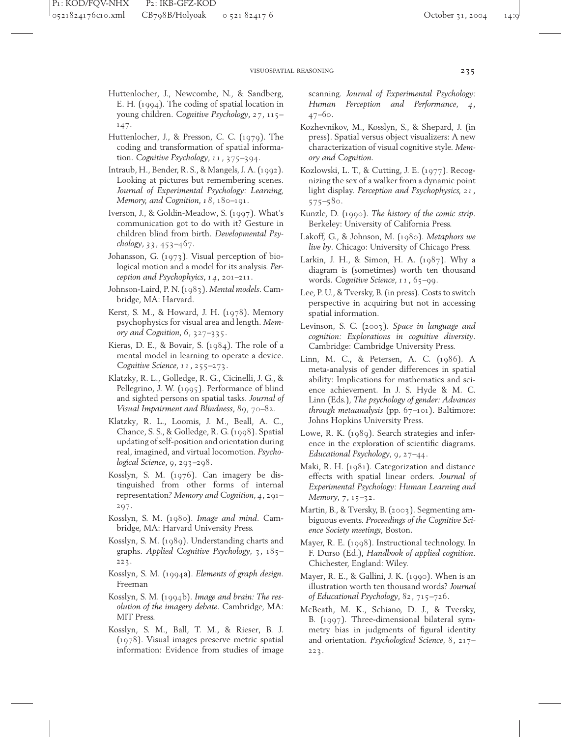- Huttenlocher, J., Newcombe, N., & Sandberg, E. H. (1994). The coding of spatial location in young children. *Cognitive Psychology*, *2 7*, 115– 147.
- Huttenlocher, J., & Presson, C. C. (1979). The coding and transformation of spatial information. *Cognitive Psychology*, *1 1* , 375–394.
- Intraub, H., Bender, R. S., & Mangels, J. A. (1992). Looking at pictures but remembering scenes. *Journal of Experimental Psychology: Learning, Memory, and Cognition*, *1 8*, 180–191.
- Iverson, J., & Goldin-Meadow, S. (1997). What's communication got to do with it? Gesture in children blind from birth. *Developmental Psychology*, *33* , 453–467.
- Johansson, G. (1973). Visual perception of biological motion and a model for its analysis. *Perception and Psychophyics*, *1 4*, 201–211.
- Johnson-Laird, P. N. (1983 ). *Mental models*. Cambridge, MA: Harvard.
- Kerst, S. M., & Howard, J. H. (1978). Memory psychophysics for visual area and length. *Memory and Cognition*, *6*, 327–335 .
- Kieras, D. E., & Bovair, S. (1984). The role of a mental model in learning to operate a device. *Cognitive Science*, *1 1* , 255–273 .
- Klatzky, R. L., Golledge, R. G., Cicinelli, J. G., & Pellegrino, J. W. (1995). Performance of blind and sighted persons on spatial tasks. *Journal of Visual Impairment and Blindness*, *89*, 70–82.
- Klatzky, R. L., Loomis, J. M., Beall, A. C., Chance, S. S., & Golledge, R. G. (1998). Spatial updating of self-position and orientation during real, imagined, and virtual locomotion. *Psychological Science*, *9*, 293–298.
- Kosslyn, S. M. (1976). Can imagery be distinguished from other forms of internal representation? *Memory and Cognition*, *4*, 291– 297.
- Kosslyn, S. M. (1980). *Image and mind*. Cambridge, MA: Harvard University Press.
- Kosslyn, S. M. (1989). Understanding charts and graphs. *Applied Cognitive Psychology*, *3* , 185– 223 .
- Kosslyn, S. M. (1994a). *Elements of graph design*. Freeman
- Kosslyn, S. M. (1994b). *Image and brain: The resolution of the imagery debate*. Cambridge, MA: MIT Press.
- Kosslyn, S. M., Ball, T. M., & Rieser, B. J. (1978). Visual images preserve metric spatial information: Evidence from studies of image

scanning. *Journal of Experimental Psychology: Human Perception and Performance*, *4*,  $47 - 60.$ 

- Kozhevnikov, M., Kosslyn, S., & Shepard, J. (in press). Spatial versus object visualizers: A new characterization of visual cognitive style. *Memory and Cognition*.
- Kozlowski, L. T., & Cutting, J. E. (1977). Recognizing the sex of a walker from a dynamic point light display. *Perception and Psychophysics, 2 1* , 575–580.
- Kunzle, D. (1990). *The history of the comic strip*. Berkeley: University of California Press.
- Lakoff, G., & Johnson, M. (1980). *Metaphors we live by*. Chicago: University of Chicago Press.
- Larkin, J. H., & Simon, H. A. (1987). Why a diagram is (sometimes) worth ten thousand words. *Cognitive Science*, *1 1* , 65–99.
- Lee, P. U., & Tversky, B. (in press). Costs to switch perspective in acquiring but not in accessing spatial information.
- Levinson, S. C. (2003 ). *Space in language and cognition: Explorations in cognitive diversity*. Cambridge: Cambridge University Press.
- Linn, M. C., & Petersen, A. C. (1986). A meta-analysis of gender differences in spatial ability: Implications for mathematics and science achievement. In J. S. Hyde & M. C. Linn (Eds.), *The psychology of gender: Advances through metaanalysis* (pp. 67–101). Baltimore: Johns Hopkins University Press.
- Lowe, R. K. (1989). Search strategies and inference in the exploration of scientific diagrams. *Educational Psychology*, *9*, 27–44.
- Maki, R. H. (1981). Categorization and distance effects with spatial linear orders. *Journal of Experimental Psychology: Human Learning and Memory*, *7*, 15–32.
- Martin, B., & Tversky, B. (2003). Segmenting ambiguous events. *Proceedings of the Cognitive Science Society meetings*, Boston.
- Mayer, R. E. (1998). Instructional technology. In F. Durso (Ed.), *Handbook of applied cognition*. Chichester, England: Wiley.
- Mayer, R. E., & Gallini, J. K. (1990). When is an illustration worth ten thousand words? *Journal of Educational Psychology*, *82* , 715–726.
- McBeath, M. K., Schiano, D. J., & Tversky, B. (1997). Three-dimensional bilateral symmetry bias in judgments of figural identity and orientation. *Psychological Science*, *8*, 217– 223 .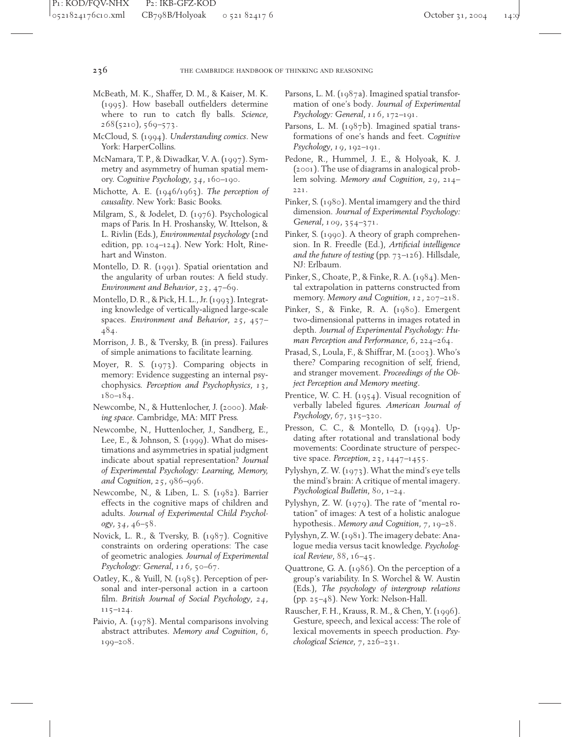- McBeath, M. K., Shaffer, D. M., & Kaiser, M. K. (1995 ). How baseball outfielders determine where to run to catch fly balls. *Science*, *268*(5210), 569–573 .
- McCloud, S. (1994). *Understanding comics*. New York: HarperCollins.
- McNamara, T. P., & Diwadkar, V. A. (1997). Symmetry and asymmetry of human spatial memory. *Cognitive Psychology*, *34*, 160–190.
- Michotte, A. E. (1946/1963 ). *The perception of causality*. New York: Basic Books.
- Milgram, S., & Jodelet, D. (1976). Psychological maps of Paris. In H. Proshansky, W. Ittelson, & L. Rivlin (Eds.), *Environmental psychology* (2nd edition, pp. 104–124). New York: Holt, Rinehart and Winston.
- Montello, D. R. (1991). Spatial orientation and the angularity of urban routes: A field study. *Environment and Behavior*, *2 3* , 47–69.
- Montello, D. R., & Pick, H. L., Jr. (1993 ). Integrating knowledge of vertically-aligned large-scale spaces. *Environment and Behavior*, *2 5* , 457– 484.
- Morrison, J. B., & Tversky, B. (in press). Failures of simple animations to facilitate learning.
- Moyer, R. S. (1973). Comparing objects in memory: Evidence suggesting an internal psychophysics. *Perception and Psychophysics*, *1 3* , 180–184.
- Newcombe, N., & Huttenlocher, J. (2000). *Making space*. Cambridge, MA: MIT Press.
- Newcombe, N., Huttenlocher, J., Sandberg, E., Lee, E., & Johnson, S. (1999). What do misestimations and asymmetries in spatial judgment indicate about spatial representation? *Journal of Experimental Psychology: Learning, Memory, and Cognition*, *2 5* , 986–996.
- Newcombe, N., & Liben, L. S. (1982). Barrier effects in the cognitive maps of children and adults. *Journal of Experimental Child Psychology*, *34*, 46–58.
- Novick, L. R., & Tversky, B. (1987). Cognitive constraints on ordering operations: The case of geometric analogies. *Journal of Experimental Psychology: General*, *116*, 50–67.
- Oatley, K., & Yuill, N. (1985 ). Perception of personal and inter-personal action in a cartoon film. *British Journal of Social Psychology*, *2 4*, 115–124.
- Paivio, A. (1978). Mental comparisons involving abstract attributes. *Memory and Cognition*, *6*, 199–208.
- Parsons, L. M. (1987a). Imagined spatial transformation of one's body. *Journal of Experimental Psychology: General*, *116*, 172–191.
- Parsons, L. M. (1987b). Imagined spatial transformations of one's hands and feet. *Cognitive Psychology*, *1 9*, 192–191.
- Pedone, R., Hummel, J. E., & Holyoak, K. J. (2001). The use of diagrams in analogical problem solving. *Memory and Cognition*, *2 9*, 214– 221.
- Pinker, S. (1980). Mental imamgery and the third dimension. *Journal of Experimental Psychology: General*, *1 09*, 354–371.
- Pinker, S. (1990). A theory of graph comprehension. In R. Freedle (Ed.), *Artificial intelligence and the future of testing* (pp. 73–126). Hillsdale, NJ: Erlbaum.
- Pinker, S., Choate, P., & Finke, R. A. (1984). Mental extrapolation in patterns constructed from memory. *Memory and Cognition*, *1 2* , 207–218.
- Pinker, S., & Finke, R. A. (1980). Emergent two-dimensional patterns in images rotated in depth. *Journal of Experimental Psychology: Human Perception and Performance*, *6*, 224–264.
- Prasad, S., Loula, F., & Shiffrar, M. (2003). Who's there? Comparing recognition of self, friend, and stranger movement. *Proceedings of the Object Perception and Memory meeting*.
- Prentice, W. C. H. (1954). Visual recognition of verbally labeled figures. *American Journal of Psychology*, *67*, 315–320.
- Presson, C. C., & Montello, D. (1994). Updating after rotational and translational body movements: Coordinate structure of perspective space. *Perception*, *2 3* , 1 447–1455 .
- Pylyshyn, Z. W. (1973 ). What the mind's eye tells the mind's brain: A critique of mental imagery. *Psychological Bulletin*, *80*, 1–24.
- Pylyshyn, Z. W. (1979). The rate of "mental rotation" of images: A test of a holistic analogue hypothesis.. *Memory and Cognition*, *7*, 19–28.
- Pylyshyn, Z. W. (1981). The imagery debate: Analogue media versus tacit knowledge. *Psychological Review*, *88*, 16–45 .
- Quattrone, G. A. (1986). On the perception of a group's variability. In S. Worchel & W. Austin (Eds.), *The psychology of intergroup relations* (pp. 25–48). New York: Nelson-Hall.
- Rauscher, F. H., Krauss, R. M., & Chen, Y. (1996). Gesture, speech, and lexical access: The role of lexical movements in speech production. *Psychological Science*, *7*, 226–231.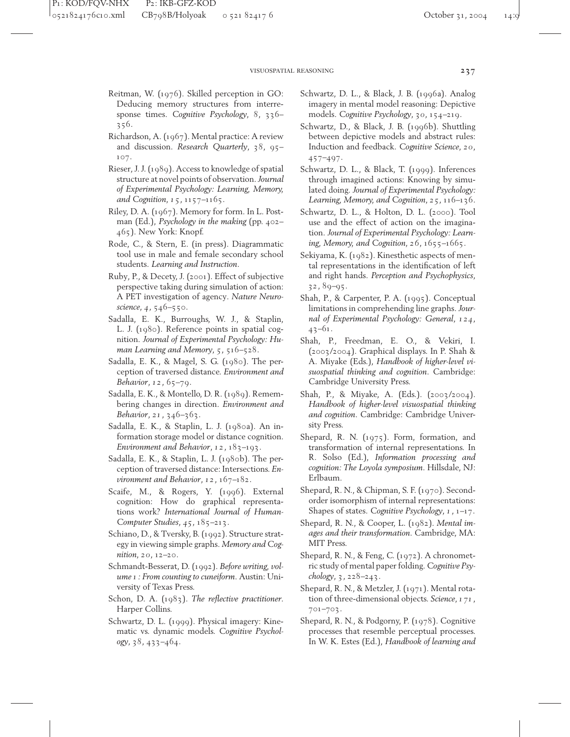- Reitman, W. (1976). Skilled perception in GO: Deducing memory structures from interresponse times. *Cognitive Psychology*, *8*, 336– 356.
- Richardson, A. (1967). Mental practice: A review and discussion. *Research Quarterly*, *38*, 95– 107.
- Rieser, J. J. (1989). Access to knowledge of spatial structure at novel points of observation. *Journal of Experimental Psychology: Learning, Memory, and Cognition*, *1 5* , 1157–1165 .
- Riley, D. A. (1967). Memory for form. In L. Postman (Ed.), *Psychology in the making* (pp. 402– 465 ). New York: Knopf.
- Rode, C., & Stern, E. (in press). Diagrammatic tool use in male and female secondary school students. *Learning and Instruction*.
- Ruby, P., & Decety, J. (2001). Effect of subjective perspective taking during simulation of action: A PET investigation of agency. *Nature Neuroscience*, *4*, 546–550.
- Sadalla, E. K., Burroughs, W. J., & Staplin, L. J. (1980). Reference points in spatial cognition. *Journal of Experimental Psychology: Human Learning and Memory*, *5* , 516–528.
- Sadalla, E. K., & Magel, S. G. (1980). The perception of traversed distance. *Environment and Behavior*, *12*, 65–79.
- Sadalla, E. K., & Montello, D. R. (1989). Remembering changes in direction. *Environment and Behavior*, *2 1* , 346–363 .
- Sadalla, E. K., & Staplin, L. J. (1980a). An information storage model or distance cognition. *Environment and Behavior*, *1 2* , 183–193 .
- Sadalla, E. K., & Staplin, L. J. (1980b). The perception of traversed distance: Intersections. *Environment and Behavior*, *1 2* , 167–182.
- Scaife, M., & Rogers, Y. (1996). External cognition: How do graphical representations work? *International Journal of Human-Computer Studies*, 45, 185–213.
- Schiano, D., & Tversky, B. (1992). Structure strategy in viewing simple graphs. *Memory and Cognition*, *2 0*, 12–20.
- Schmandt-Besserat, D. (1992). *Before writing, volume 1 : From counting to cuneiform*. Austin: University of Texas Press.
- Schon, D. A. (1983 ). *The reflective practitioner*. Harper Collins.
- Schwartz, D. L. (1999). Physical imagery: Kinematic vs. dynamic models. *Cognitive Psychology*, *38*, 433–464.
- Schwartz, D. L., & Black, J. B. (1996a). Analog imagery in mental model reasoning: Depictive models. *Cognitive Psychology*, *30*, 154–219.
- Schwartz, D., & Black, J. B. (1996b). Shuttling between depictive models and abstract rules: Induction and feedback. *Cognitive Science*, *2 0*, 457–497.
- Schwartz, D. L., & Black, T. (1999). Inferences through imagined actions: Knowing by simulated doing. *Journal of Experimental Psychology: Learning, Memory, and Cognition*, *2 5* , 116–136.
- Schwartz, D. L., & Holton, D. L. (2000). Tool use and the effect of action on the imagination. *Journal of Experimental Psychology: Learning, Memory, and Cognition*, *2 6*, 1655–1665 .
- Sekiyama, K. (1982). Kinesthetic aspects of mental representations in the identification of left and right hands. *Perception and Psychophysics*, *32* , 89–95 .
- Shah, P., & Carpenter, P. A. (1995 ). Conceptual limitations in comprehending line graphs. *Journal of Experimental Psychology: General*, *124*,  $43 - 61$ .
- Shah, P., Freedman, E. O., & Vekiri, I. (2003 /2004). Graphical displays. In P. Shah & A. Miyake (Eds.), *Handbook of higher-level visuospatial thinking and cognition*. Cambridge: Cambridge University Press.
- Shah, P., & Miyake, A. (Eds.). (2003/2004). *Handbook of higher-level visuospatial thinking and cognition*. Cambridge: Cambridge University Press.
- Shepard, R. N. (1975 ). Form, formation, and transformation of internal representations. In R. Solso (Ed.), *Information processing and cognition: The Loyola symposium*. Hillsdale, NJ: Erlbaum.
- Shepard, R. N., & Chipman, S. F. (1970). Secondorder isomorphism of internal representations: Shapes of states. *Cognitive Psychology*, *1* , 1–17.
- Shepard, R. N., & Cooper, L. (1982). *Mental images and their transformation*. Cambridge, MA: MIT Press.
- Shepard, R. N., & Feng, C. (1972). A chronometric study of mental paper folding. *Cognitive Psychology*, *3* , 228–243 .
- Shepard, R. N., & Metzler, J. (1971). Mental rotation of three-dimensional objects. *Science*, *1 71* , 701–703 .
- Shepard, R. N., & Podgorny, P. (1978). Cognitive processes that resemble perceptual processes. In W. K. Estes (Ed.), *Handbook of learning and*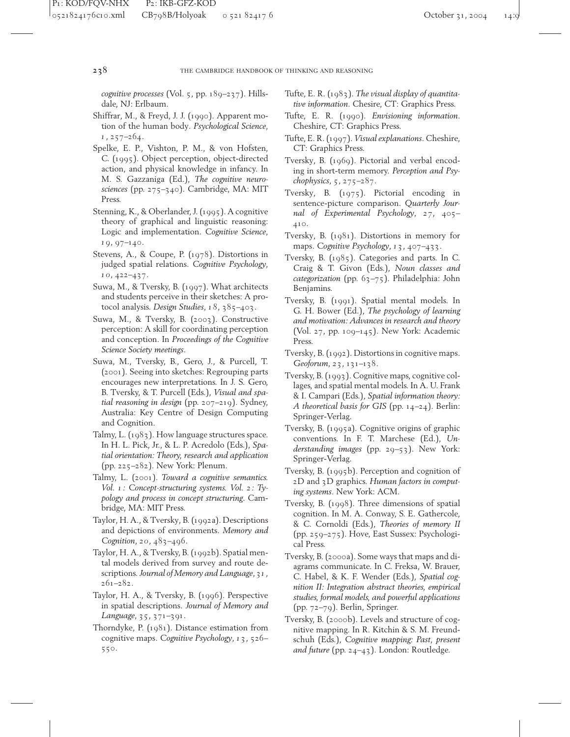*cognitive processes* (Vol. 5 , pp. 189–237). Hillsdale, NJ: Erlbaum.

- Shiffrar, M., & Freyd, J. J. (1990). Apparent motion of the human body. *Psychological Science*, *1* , 257–264.
- Spelke, E. P., Vishton, P. M., & von Hofsten, C. (1995 ). Object perception, object-directed action, and physical knowledge in infancy. In M. S. Gazzaniga (Ed.), *The cognitive neurosciences* (pp. 275–340). Cambridge, MA: MIT Press.
- Stenning, K., & Oberlander, J. (1995 ). A cognitive theory of graphical and linguistic reasoning: Logic and implementation. *Cognitive Science*, *1 9*, 97–140.
- Stevens, A., & Coupe, P. (1978). Distortions in judged spatial relations. *Cognitive Psychology*, *1 0*, 422–437.
- Suwa, M., & Tversky, B. (1997). What architects and students perceive in their sketches: A protocol analysis. *Design Studies*, *1 8*, 385–403 .
- Suwa, M., & Tversky, B. (2003 ). Constructive perception: A skill for coordinating perception and conception. In *Proceedings of the Cognitive Science Society meetings*.
- Suwa, M., Tversky, B., Gero, J., & Purcell, T. (2001). Seeing into sketches: Regrouping parts encourages new interpretations. In J. S. Gero, B. Tversky, & T. Purcell (Eds.), *Visual and spatial reasoning in design* (pp. 207–219). Sydney, Australia: Key Centre of Design Computing and Cognition.
- Talmy, L. (1983 ). How language structures space. In H. L. Pick, Jr., & L. P. Acredolo (Eds.), *Spatial orientation: Theory, research and application* (pp. 225–282). New York: Plenum.
- Talmy, L. (2001). *Toward a cognitive semantics. Vol. 1 : Concept-structuring systems. Vol. 2 : Typology and process in concept structuring*. Cambridge, MA: MIT Press.
- Taylor, H. A., & Tversky, B. (1992a). Descriptions and depictions of environments. *Memory and Cognition*, *2 0*, 483–496.
- Taylor, H. A., & Tversky, B. (1992b). Spatial mental models derived from survey and route descriptions. *Journal of Memory and Language*, *31* ,  $261 - 282$ .
- Taylor, H. A., & Tversky, B. (1996). Perspective in spatial descriptions. *Journal of Memory and Language*, *35* , 371–391.
- Thorndyke, P. (1981). Distance estimation from cognitive maps. *Cognitive Psychology*, *1 3* , 526– 550.
- Tufte, E. R. (1983 ). *The visual display of quantitative information*. Chesire, CT: Graphics Press.
- Tufte, E. R. (1990). *Envisioning information*. Cheshire, CT: Graphics Press.
- Tufte, E. R. (1997). *Visual explanations*. Cheshire, CT: Graphics Press.
- Tversky, B. (1969). Pictorial and verbal encoding in short-term memory. *Perception and Psychophysics*, *5* , 275–287.
- Tversky, B. (1975). Pictorial encoding in sentence-picture comparison. *Quarterly Journal of Experimental Psychology*, *2 7*, 405– 410.
- Tversky, B. (1981). Distortions in memory for maps. *Cognitive Psychology*, *1 3* , 407–433 .
- Tversky, B. (1985 ). Categories and parts. In C. Craig & T. Givon (Eds.), *Noun classes and categorization* (pp. 63–75 ). Philadelphia: John Benjamins.
- Tversky, B. (1991). Spatial mental models. In G. H. Bower (Ed.), *The psychology of learning and motivation: Advances in research and theory* (Vol. 27, pp. 109–145 ). New York: Academic Press.
- Tversky, B. (1992). Distortions in cognitive maps. *Geoforum*, *2 3* , 131–138.
- Tversky, B. (1993 ). Cognitive maps, cognitive collages, and spatial mental models. In A. U. Frank & I. Campari (Eds.), *Spatial information theory: A theoretical basis for GIS* (pp. 14–24). Berlin: Springer-Verlag.
- Tversky, B. (1995a). Cognitive origins of graphic conventions. In F. T. Marchese (Ed.), *Understanding images* (pp. 29–53 ). New York: Springer-Verlag.
- Tversky, B. (1995b). Perception and cognition of 2D and 3D graphics. *Human factors in computing systems*. New York: ACM.
- Tversky, B. (1998). Three dimensions of spatial cognition. In M. A. Conway, S. E. Gathercole, & C. Cornoldi (Eds.), *Theories of memory II* (pp. 259–275 ). Hove, East Sussex: Psychological Press.
- Tversky, B. (2000a). Some ways that maps and diagrams communicate. In C. Freksa, W. Brauer, C. Habel, & K. F. Wender (Eds.), *Spatial cognition II: Integration abstract theories, empirical studies, formal models, and powerful applications* (pp. 72–79). Berlin, Springer.
- Tversky, B. (2000b). Levels and structure of cognitive mapping. In R. Kitchin & S. M. Freundschuh (Eds.), *Cognitive mapping: Past, present and future* (pp. 24–43 ). London: Routledge.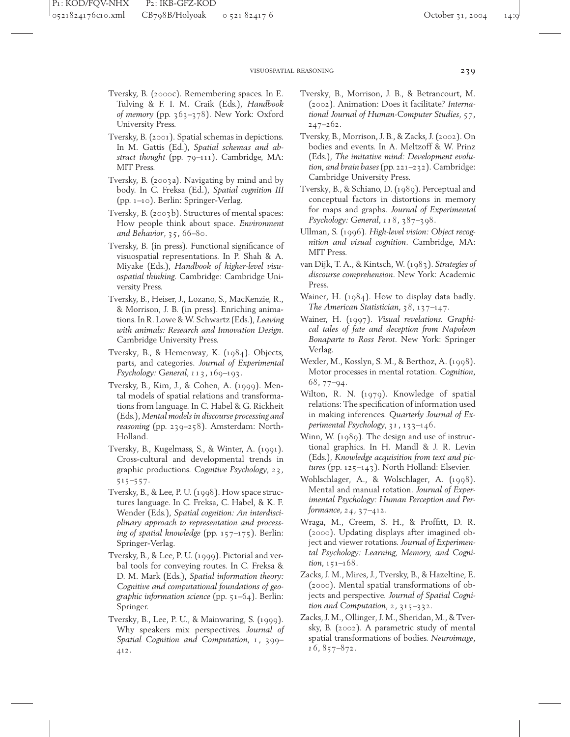University Press.

- 
- Tversky, B. (2000c). Remembering spaces. In E. Tulving & F. I. M. Craik (Eds.), *Handbook of memory* (pp. 363–378). New York: Oxford
- Tversky, B. (2001). Spatial schemas in depictions. In M. Gattis (Ed.), *Spatial schemas and abstract thought* (pp. 79–111). Cambridge, MA: MIT Press.
- Tversky, B. (2003a). Navigating by mind and by body. In C. Freksa (Ed.), *Spatial cognition III* (pp. 1–10). Berlin: Springer-Verlag.
- Tversky, B. (2003b). Structures of mental spaces: How people think about space. *Environment and Behavior*, *35* , 66–80.
- Tversky, B. (in press). Functional significance of visuospatial representations. In P. Shah & A. Miyake (Eds.), *Handbook of higher-level visuospatial thinking*. Cambridge: Cambridge University Press.
- Tversky, B., Heiser, J., Lozano, S., MacKenzie, R., & Morrison, J. B. (in press). Enriching animations. In R. Lowe & W. Schwartz (Eds.), *Leaving with animals: Research and Innovation Design*. Cambridge University Press.
- Tversky, B., & Hemenway, K. (1984). Objects, parts, and categories. *Journal of Experimental Psychology: General*, *113* , 169–193 .
- Tversky, B., Kim, J., & Cohen, A. (1999). Mental models of spatial relations and transformations from language. In C. Habel & G. Rickheit (Eds.), *Mental models in discourse processing and reasoning* (pp. 239–258). Amsterdam: North-Holland.
- Tversky, B., Kugelmass, S., & Winter, A. (1991). Cross-cultural and developmental trends in graphic productions. *Cognitive Psychology*, *2 3* , 515–557.
- Tversky, B., & Lee, P. U. (1998). How space structures language. In C. Freksa, C. Habel, & K. F. Wender (Eds.), *Spatial cognition: An interdisciplinary approach to representation and processing of spatial knowledge* (pp. 157–175 ). Berlin: Springer-Verlag.
- Tversky, B., & Lee, P. U. (1999). Pictorial and verbal tools for conveying routes. In C. Freksa & D. M. Mark (Eds.), *Spatial information theory: Cognitive and computational foundations of geographic information science* (pp. 51–64). Berlin: Springer.
- Tversky, B., Lee, P. U., & Mainwaring, S. (1999). Why speakers mix perspectives. *Journal of Spatial Cognition and Computation*, *1* , 399– 412.
- Tversky, B., Morrison, J. B., & Betrancourt, M. (2002). Animation: Does it facilitate? *International Journal of Human-Computer Studies*, *57*,  $247 - 262$ .
- Tversky, B., Morrison, J. B., & Zacks, J. (2002). On bodies and events. In A. Meltzoff & W. Prinz (Eds.), *The imitative mind: Development evolution, and brain bases*(pp. 221–232). Cambridge: Cambridge University Press.
- Tversky, B., & Schiano, D. (1989). Perceptual and conceptual factors in distortions in memory for maps and graphs. *Journal of Experimental Psychology: General*, *118*, 387–398.
- Ullman, S. (1996). *High-level vision: Object recognition and visual cognition*. Cambridge, MA: MIT Press.
- van Dijk, T. A., & Kintsch, W. (1983 ). *Strategies of discourse comprehension*. New York: Academic Press.
- Wainer, H. (1984). How to display data badly. *The American Statistician*, *38*, 137–147.
- Wainer, H. (1997). *Visual revelations. Graphical tales of fate and deception from Napoleon Bonaparte to Ross Perot*. New York: Springer Verlag.
- Wexler, M., Kosslyn, S. M., & Berthoz, A. (1998). Motor processes in mental rotation. *Cognition*, *68*, 77–94.
- Wilton, R. N. (1979). Knowledge of spatial relations: The specification of information used in making inferences. *Quarterly Journal of Experimental Psychology*, *31* , 133–146.
- Winn, W. (1989). The design and use of instructional graphics. In H. Mandl & J. R. Levin (Eds.), *Knowledge acquisition from text and pictures* (pp. 125–143 ). North Holland: Elsevier.
- Wohlschlager, A., & Wolschlager, A. (1998). Mental and manual rotation. *Journal of Experimental Psychology: Human Perception and Performance*, *2 4*, 37–412.
- Wraga, M., Creem, S. H., & Proffitt, D. R. (2000). Updating displays after imagined object and viewer rotations. *Journal of Experimental Psychology: Learning, Memory, and Cognition*, 151–168.
- Zacks, J. M., Mires, J., Tversky, B., & Hazeltine, E. (2000). Mental spatial transformations of objects and perspective. *Journal of Spatial Cognition and Computation*, *2* , 315–332.
- Zacks, J. M., Ollinger, J. M., Sheridan, M., & Tversky, B. (2002). A parametric study of mental spatial transformations of bodies. *Neuroimage*, *1 6*, 857–872.